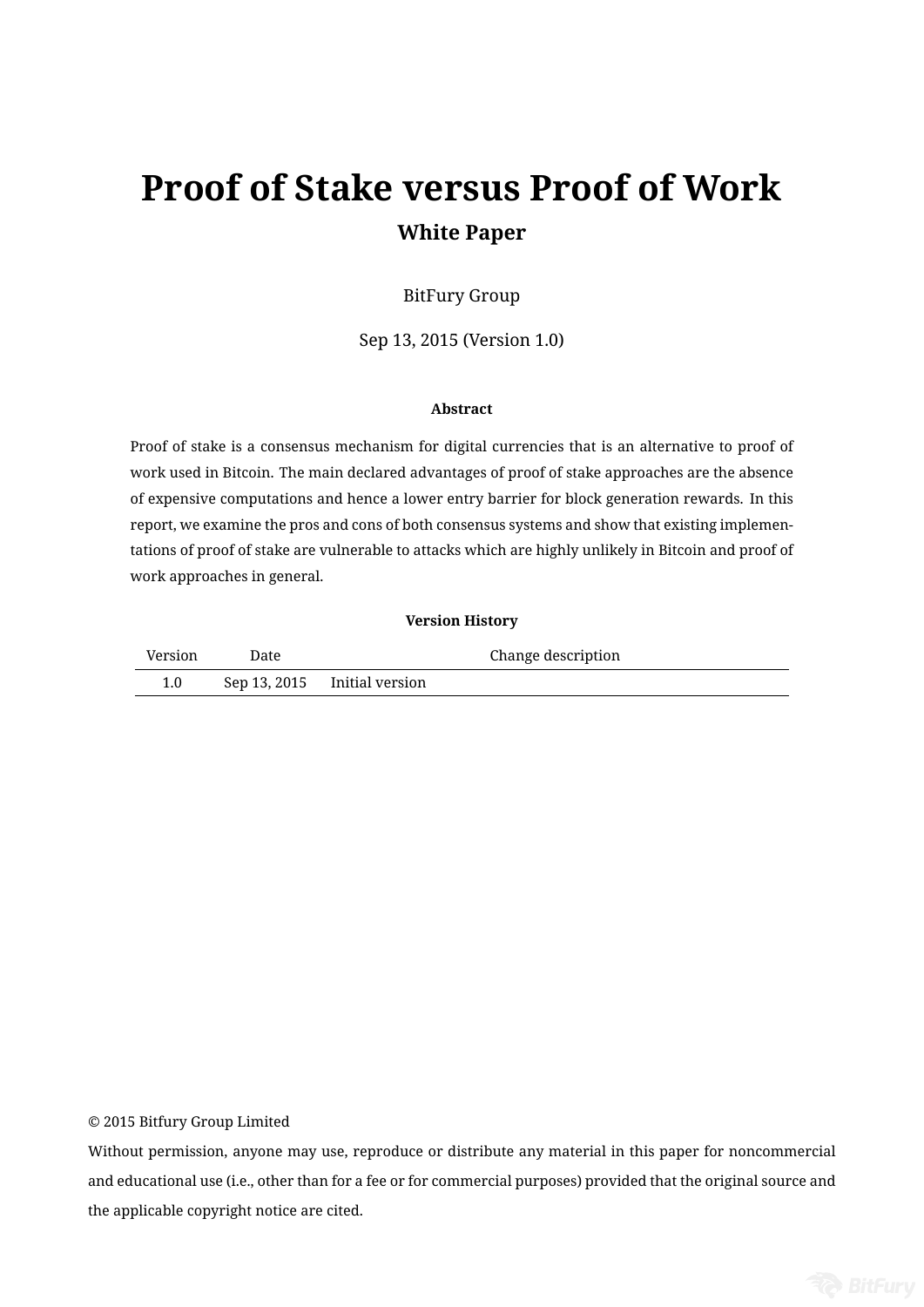# **Proof of Stake versus Proof of Work White Paper**

## BitFury Group

Sep 13, 2015 (Version 1.0)

#### **Abstract**

Proof of stake is a consensus mechanism for digital currencies that is an alternative to proof of work used in Bitcoin. The main declared advantages of proof of stake approaches are the absence of expensive computations and hence a lower entry barrier for block generation rewards. In this report, we examine the pros and cons of both consensus systems and show that existing implementations of proof of stake are vulnerable to attacks which are highly unlikely in Bitcoin and proof of work approaches in general.

#### **Version History**

| Version | Date |                              | Change description |  |  |
|---------|------|------------------------------|--------------------|--|--|
| 1.0     |      | Sep 13, 2015 Initial version |                    |  |  |

© 2015 Bitfury Group Limited

Without permission, anyone may use, reproduce or distribute any material in this paper for noncommercial and educational use (i.e., other than for a fee or for commercial purposes) provided that the original source and the applicable copyright notice are cited.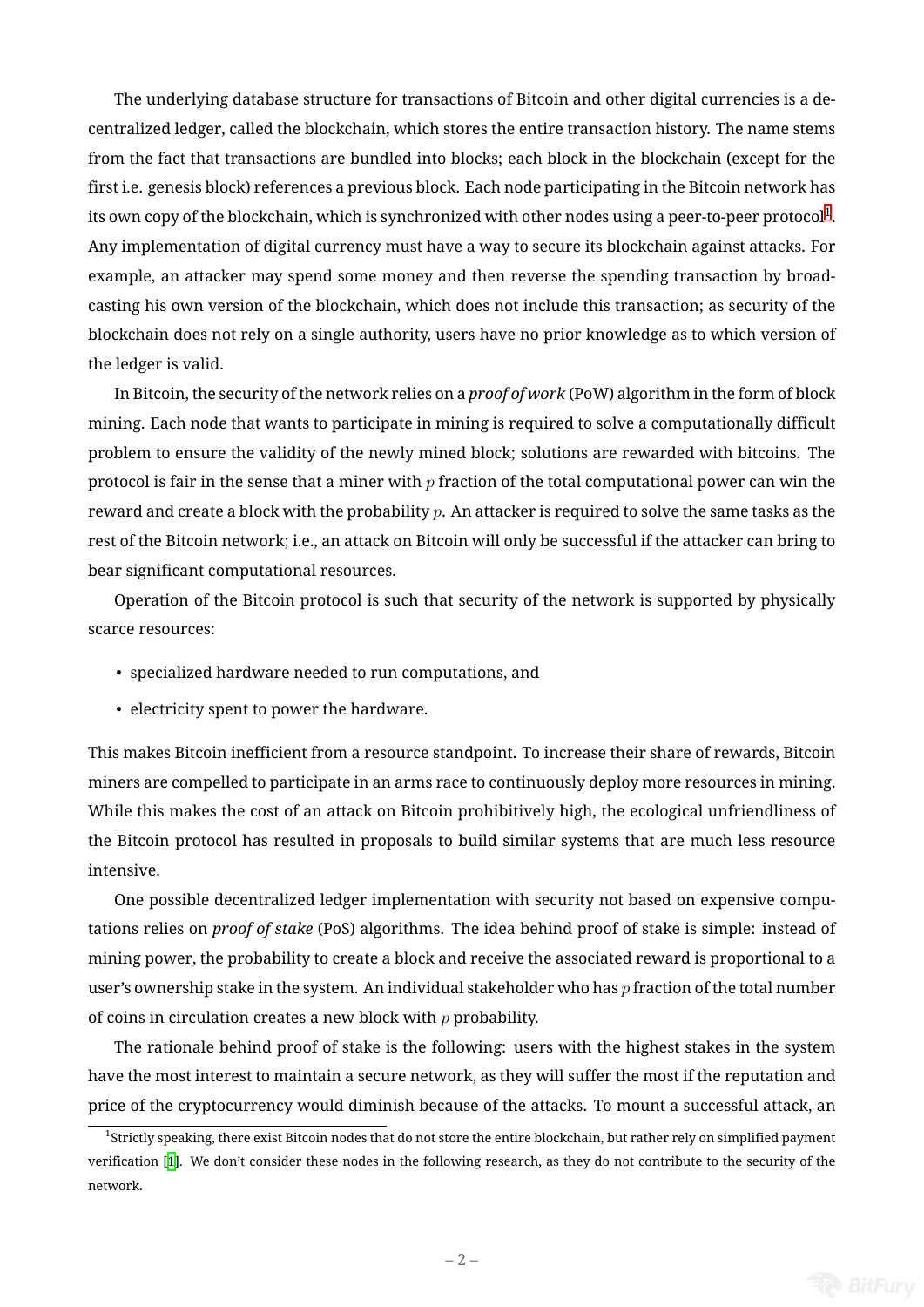The underlying database structure for transactions of Bitcoin and other digital currencies is a decentralized ledger, called the blockchain, which stores the entire transaction history. The name stems from the fact that transactions are bundled into blocks; each block in the blockchain (except for the first i.e. genesis block) references a previous block. Each node participating in the Bitcoin network has its own copy of the blockchain, which is synchronized with other nodes using a peer-to-peer protocol $^1\!.$ Any implementation of digital currency must have a way to secure its blockchain against attacks. For example, an attacker may spend some money and then reverse the spending transaction by broa[d](#page-1-0)casting his own version of the blockchain, which does not include this transaction; as security of the blockchain does not rely on a single authority, users have no prior knowledge as to which version of the ledger is valid.

In Bitcoin, the security of the network relies on a *proof of work* (PoW) algorithm in the form of block mining. Each node that wants to participate in mining is required to solve a computationally difficult problem to ensure the validity of the newly mined block; solutions are rewarded with bitcoins. The protocol is fair in the sense that a miner with *p* fraction of the total computational power can win the reward and create a block with the probability *p*. An attacker is required to solve the same tasks as the rest of the Bitcoin network; i.e., an attack on Bitcoin will only be successful if the attacker can bring to bear significant computational resources.

Operation of the Bitcoin protocol is such that security of the network is supported by physically scarce resources:

- specialized hardware needed to run computations, and
- electricity spent to power the hardware.

This makes Bitcoin inefficient from a resource standpoint. To increase their share of rewards, Bitcoin miners are compelled to participate in an arms race to continuously deploy more resources in mining. While this makes the cost of an attack on Bitcoin prohibitively high, the ecological unfriendliness of the Bitcoin protocol has resulted in proposals to build similar systems that are much less resource intensive.

One possible decentralized ledger implementation with security not based on expensive computations relies on *proof of stake* (PoS) algorithms. The idea behind proof of stake is simple: instead of mining power, the probability to create a block and receive the associated reward is proportional to a user's ownership stake in the system. An individual stakeholder who has *p* fraction of the total number of coins in circulation creates a new block with *p* probability.

The rationale behind proof of stake is the following: users with the highest stakes in the system have the most interest to maintain a secure network, as they will suffer the most if the reputation and price of the cryptocurrency would diminish because of the attacks. To mount a successful attack, an

<span id="page-1-0"></span><sup>1</sup> Strictly speaking, there exist Bitcoin nodes that do not store the entire blockchain, but rather rely on simplified payment verification [1]. We don't consider these nodes in the following research, as they do not contribute to the security of the network.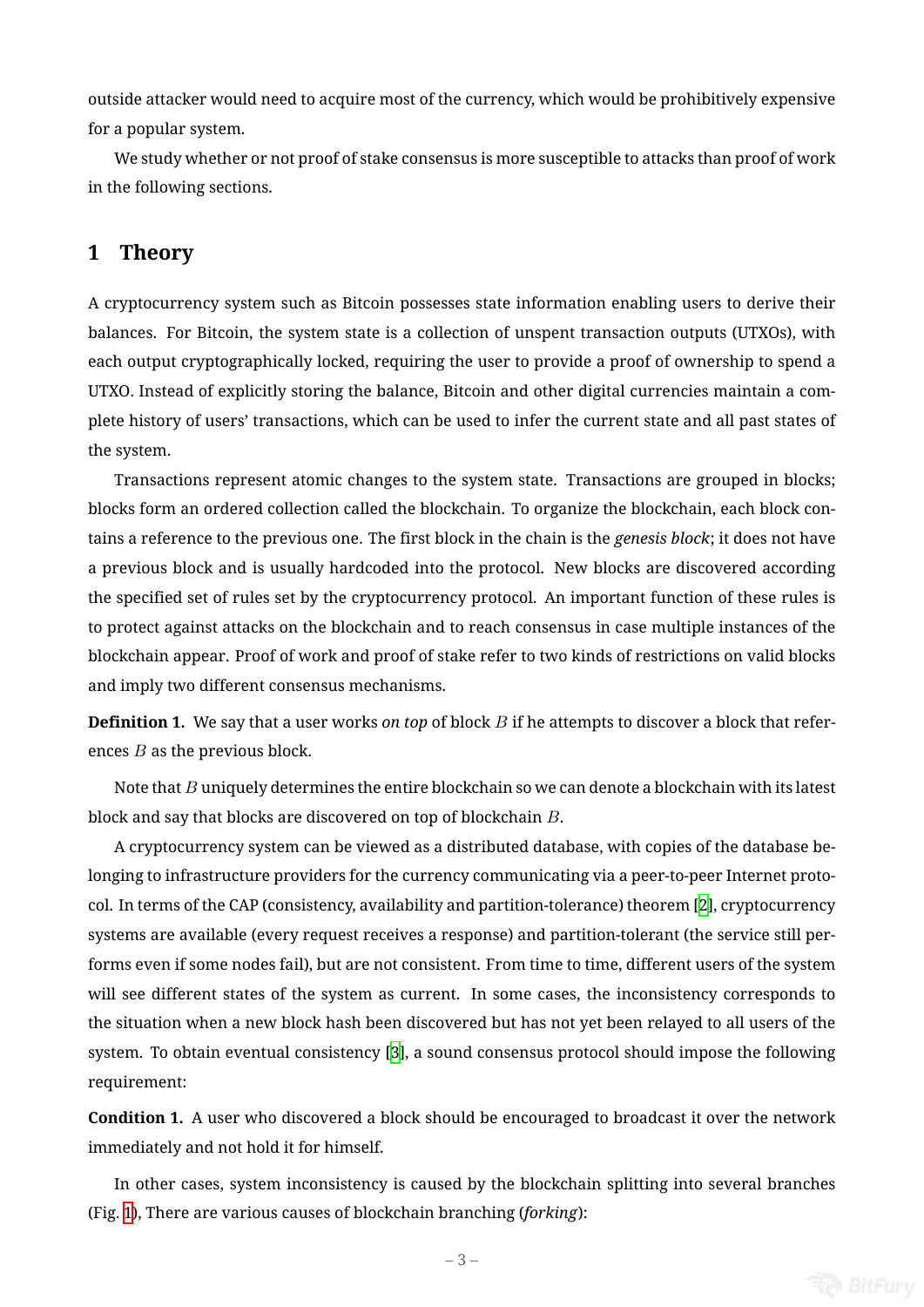outside attacker would need to acquire most of the currency, which would be prohibitively expensive for a popular system.

We study whether or not proof of stake consensus is more susceptible to attacks than proof of work in the following sections.

# **1 Theory**

A cryptocurrency system such as Bitcoin possesses state information enabling users to derive their balances. For Bitcoin, the system state is a collection of unspent transaction outputs (UTXOs), with each output cryptographically locked, requiring the user to provide a proof of ownership to spend a UTXO. Instead of explicitly storing the balance, Bitcoin and other digital currencies maintain a complete history of users' transactions, which can be used to infer the current state and all past states of the system.

Transactions represent atomic changes to the system state. Transactions are grouped in blocks; blocks form an ordered collection called the blockchain. To organize the blockchain, each block contains a reference to the previous one. The first block in the chain is the *genesis block*; it does not have a previous block and is usually hardcoded into the protocol. New blocks are discovered according the specified set of rules set by the cryptocurrency protocol. An important function of these rules is to protect against attacks on the blockchain and to reach consensus in case multiple instances of the blockchain appear. Proof of work and proof of stake refer to two kinds of restrictions on valid blocks and imply two different consensus mechanisms.

**Definition 1.** We say that a user works *on top* of block *B* if he attempts to discover a block that references *B* as the previous block.

Note that *B* uniquely determines the entire blockchain so we can denote a blockchain with its latest block and say that blocks are discovered on top of blockchain *B*.

A cryptocurrency system can be viewed as a distributed database, with copies of the database belonging to infrastructure providers for the currency communicating via a peer-to-peer Internet protocol. In terms of the CAP (consistency, availability and partition-tolerance) theorem [2], cryptocurrency systems are available (every request receives a response) and partition-tolerant (the service still performs even if some nodes fail), but are not consistent. From time to time, different users of the system will see different states of the system as current. In some cases, the inconsiste[nc](#page-24-0)y corresponds to the situation when a new block hash been discovered but has not yet been relayed to all users of the system. To obtain eventual consistency [3], a sound consensus protocol should impose the following requirement:

**Condition 1.** A user who discovered a b[lo](#page-24-1)ck should be encouraged to broadcast it over the network immediately and not hold it for himself.

<span id="page-2-0"></span>In other cases, system inconsistency is caused by the blockchain splitting into several branches (Fig. 1), There are various causes of blockchain branching (*forking*):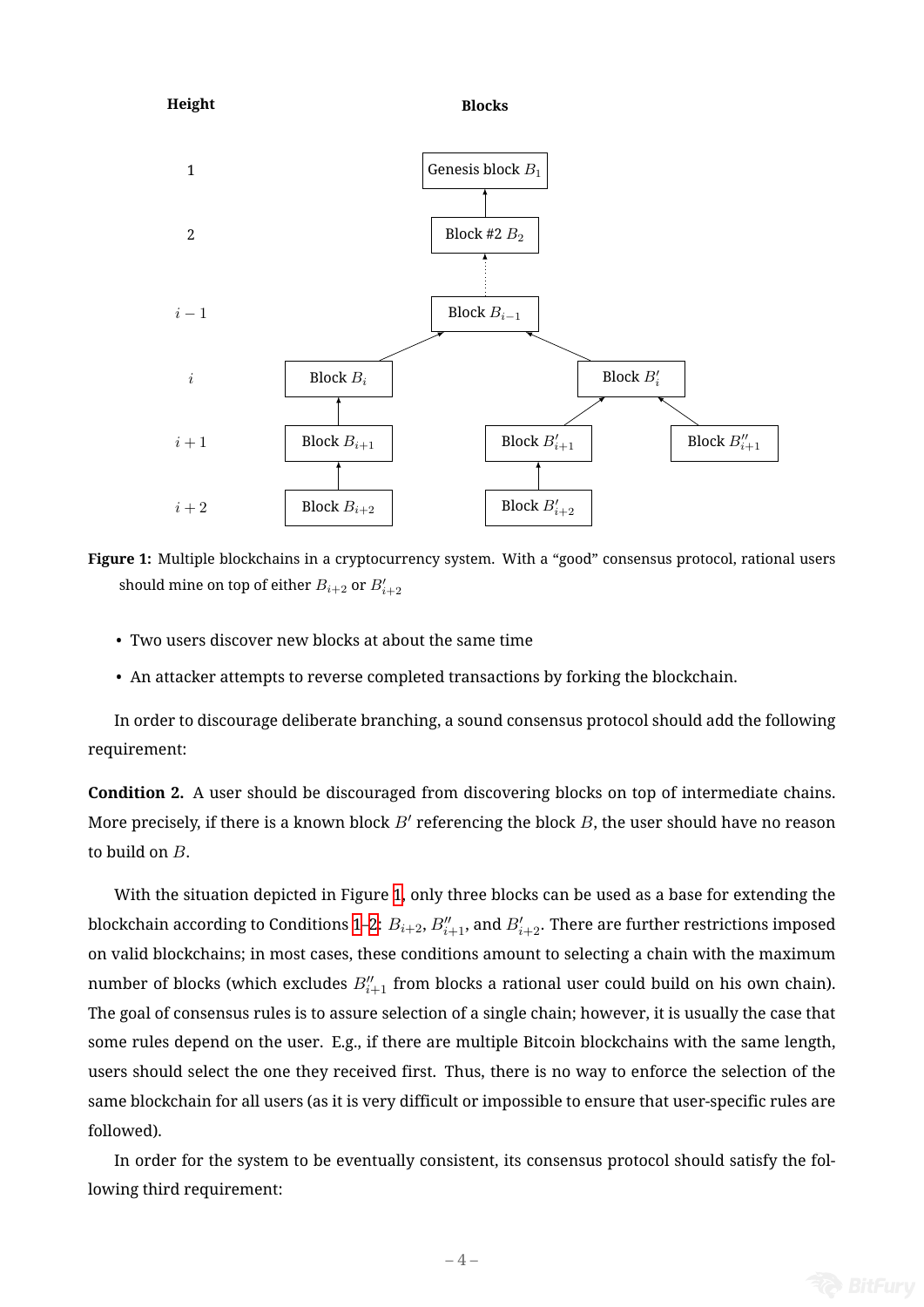<span id="page-3-0"></span>



- Two users discover new blocks at about the same time
- An attacker attempts to reverse completed transactions by forking the blockchain.

In order to discourage deliberate branching, a sound consensus protocol should add the following requirement:

<span id="page-3-1"></span>**Condition 2.** A user should be discouraged from discovering blocks on top of intermediate chains. More precisely, if there is a known block *B′* referencing the block *B*, the user should have no reason to build on *B*.

With the situation depicted in Figure 1, only three blocks can be used as a base for extending the blockchain according to Conditions 1–2:  $B_{i+2},$   $B_{i+1}''$ , and  $B_{i+2}'$ . There are further restrictions imposed on valid blockchains; in most cases, these conditions amount to selecting a chain with the maximum number of blocks (which excludes  $B''_{i+1}$  [fr](#page-3-0)om blocks a rational user could build on his own chain). The goal of consensus rules is to as[su](#page-2-0)[re](#page-3-1) selection of a single chain; however, it is usually the case that some rules depend on the user. E.g., if there are multiple Bitcoin blockchains with the same length, users should select the one they received first. Thus, there is no way to enforce the selection of the same blockchain for all users (as it is very difficult or impossible to ensure that user-specific rules are followed).

In order for the system to be eventually consistent, its consensus protocol should satisfy the following third requirement:

 $-4-$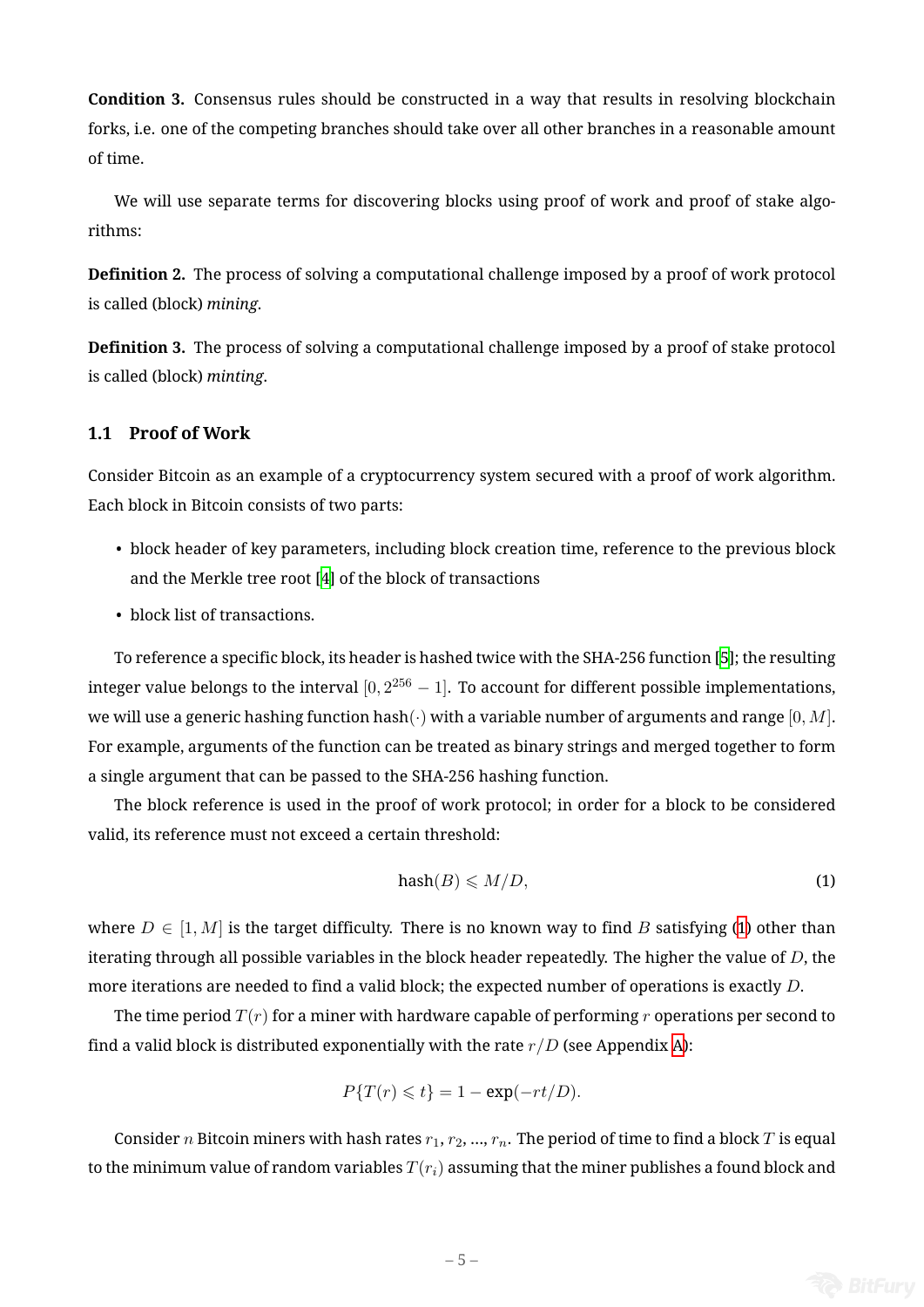**Condition 3.** Consensus rules should be constructed in a way that results in resolving blockchain forks, i.e. one of the competing branches should take over all other branches in a reasonable amount of time.

We will use separate terms for discovering blocks using proof of work and proof of stake algorithms:

**Definition 2.** The process of solving a computational challenge imposed by a proof of work protocol is called (block) *mining*.

**Definition 3.** The process of solving a computational challenge imposed by a proof of stake protocol is called (block) *minting*.

# **1.1 Proof of Work**

Consider Bitcoin as an example of a cryptocurrency system secured with a proof of work algorithm. Each block in Bitcoin consists of two parts:

- block header of key parameters, including block creation time, reference to the previous block and the Merkle tree root [4] of the block of transactions
- block list of transactions.

To reference a specific block[, i](#page-24-2)ts header is hashed twice with the SHA-256 function [5]; the resulting integer value belongs to the interval [0*,* 2 <sup>256</sup> *−* 1]. To account for different possible implementations, we will use a generic hashing function hash(*·*) with a variable number of arguments and range [0*, M*]. For example, arguments of the function can be treated as binary strings and mergedt[og](#page-24-3)ether to form a single argument that can be passed to the SHA-256 hashing function.

The block reference is used in the proof of work protocol; in order for a block to be considered valid, its reference must not exceed a certain threshold:

<span id="page-4-0"></span>
$$
hash(B) \leqslant M/D,\tag{1}
$$

where  $D \in [1, M]$  is the target difficulty. There is no known way to find *B* satisfying (1) other than iterating through all possible variables in the block header repeatedly. The higher the value of *D*, the more iterations are needed to find a valid block; the expected number of operations is exactly *D*.

The time period *T*(*r*) for a miner with hardware capable of performing *r* operations [p](#page-4-0)er second to find a valid block is distributed exponentially with the rate  $r/D$  (see Appendix A):

$$
P\{T(r) \leq t\} = 1 - \exp(-rt/D).
$$

Consider *n* Bitcoin miners with hash rates  $r_1, r_2, ..., r_n$ . The period of time to [fi](#page-21-0)nd a block *T* is equal to the minimum value of random variables  $T(r_i)$  assuming that the miner publishes a found block and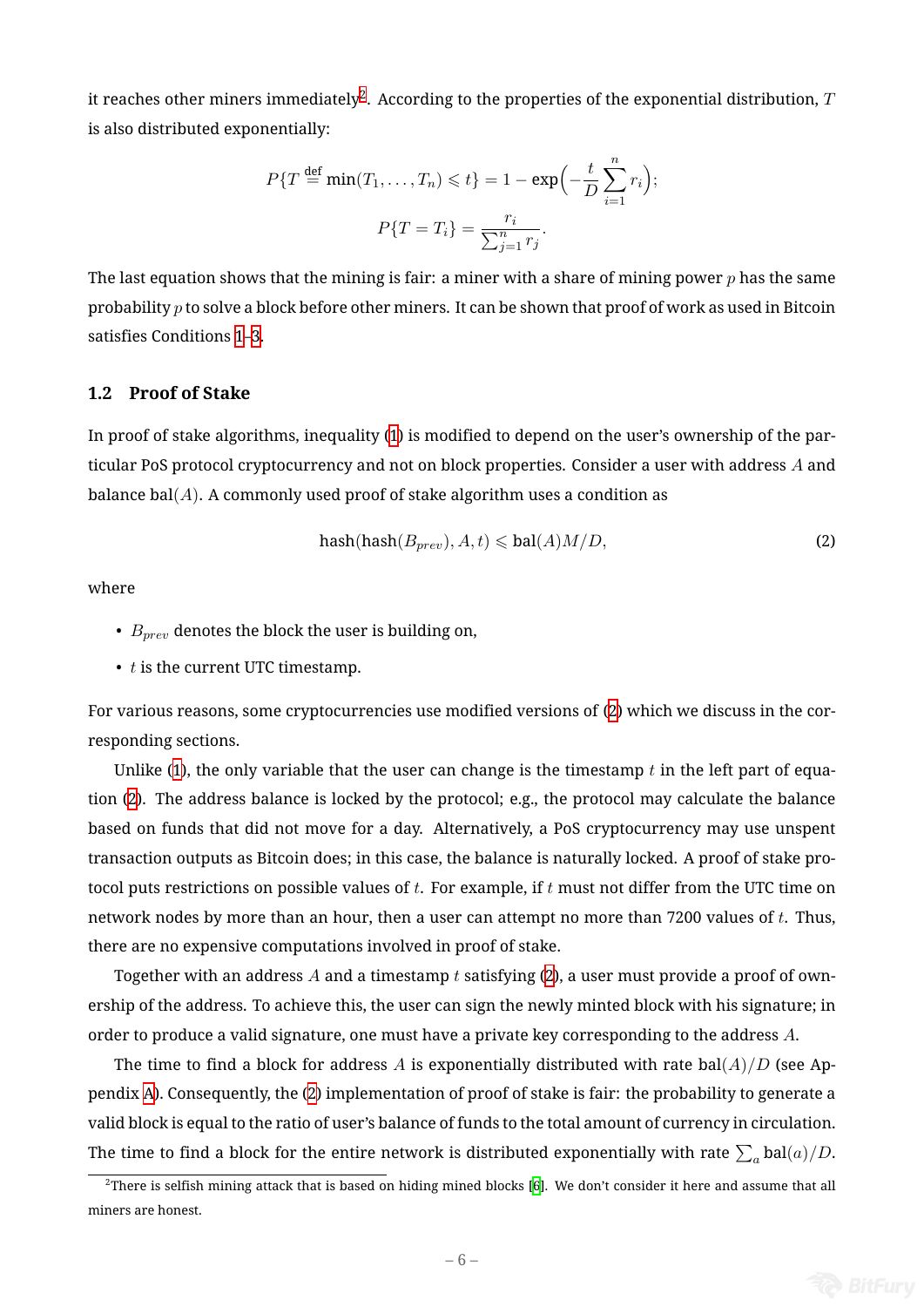it reaches other miners immediately<sup>2</sup>. According to the properties of the exponential distribution,  $T$ is also distributed exponentially:

$$
P\{T \stackrel{\text{def}}{=} \min(T_1, \dots, T_n) \leq t\} = 1 - \exp\left(-\frac{t}{D} \sum_{i=1}^n r_i\right);
$$

$$
P\{T = T_i\} = \frac{r_i}{\sum_{j=1}^n r_j}.
$$

The last equation shows that the mining is fair: a miner with a share of mining power *p* has the same probability *p* to solve a block before other miners. It can be shown that proof of work as used in Bitcoin satisfies Conditions 1–3.

### **1.2 Proof of Stake**

In proof of stake algorithms, inequality (1) is modified to depend on the user's ownership of the particular PoS protocol cryptocurrency and not on block properties. Consider a user with address *A* and balance bal(*A*). A commonly used proof [of](#page-4-0) stake algorithm uses a condition as

<span id="page-5-1"></span>
$$
hash(hash(B_{prev}), A, t) \leqslant bal(A)M/D,
$$
\n(2)

where

- *Bprev* denotes the block the user is building on,
- *t* is the current UTC timestamp.

For various reasons, some cryptocurrencies use modified versions of (2) which we discuss in the corresponding sections.

Unlike  $(1)$ , the only variable that the user can change is the timestamp  $t$  in the left part of equation (2). The address balance is locked by the protocol; e.g., the prot[oc](#page-5-1)ol may calculate the balance based on funds that did not move for a day. Alternatively, a PoS cryptocurrency may use unspent transactio[n o](#page-4-0)utputs as Bitcoin does; in this case, the balance is naturally locked. A proof of stake protocol [p](#page-5-1)uts restrictions on possible values of *t*. For example, if *t* must not differ from the UTC time on network nodes by more than an hour, then a user can attempt no more than 7200 values of *t*. Thus, there are no expensive computations involved in proof of stake.

Together with an address *A* and a timestamp *t* satisfying (2), a user must provide a proof of ownership of the address. To achieve this, the user can sign the newly minted block with his signature; in order to produce a valid signature, one must have a private key corresponding to the address *A*.

The time to find a block for address A is exponentially [dis](#page-5-1)tributed with rate bal $(A)/D$  (see Appendix A). Consequently, the (2) implementation of proof of stake is fair: the probability to generate a valid block is equal to the ratio of user's balance of funds to the total amount of currency in circulation. The ti[me](#page-21-0) to find a block for [th](#page-5-1)e entire network is distributed exponentially with rate  $\sum_a \text{bal}(a)/D.$ 

<span id="page-5-0"></span> $^2$ There is selfish mining attack that is based on hiding mined blocks [6]. We don't consider it here and assume that all miners are honest.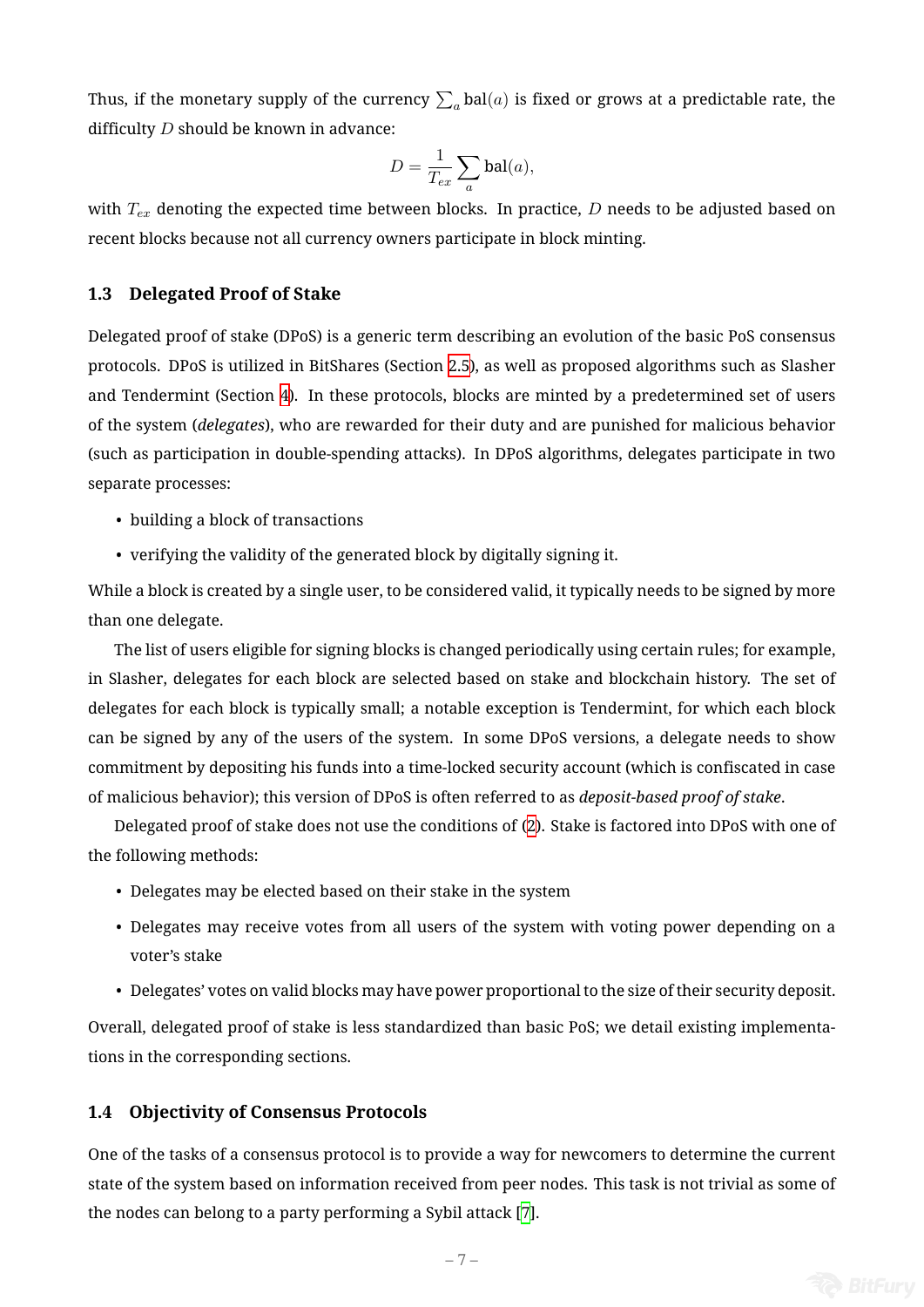Thus, if the monetary supply of the currency  $\sum_a \text{bal}(a)$  is fixed or grows at a predictable rate, the difficulty *D* should be known in advance:

$$
D = \frac{1}{T_{ex}} \sum_{a} \text{bal}(a),
$$

with  $T_{ex}$  denoting the expected time between blocks. In practice, *D* needs to be adjusted based on recent blocks because not all currency owners participate in block minting.

## **1.3 Delegated Proof of Stake**

Delegated proof of stake (DPoS) is a generic term describing an evolution of the basic PoS consensus protocols. DPoS is utilized in BitShares (Section 2.5), as well as proposed algorithms such as Slasher and Tendermint (Section 4). In these protocols, blocks are minted by a predetermined set of users of the system (*delegates*), who are rewarded for their duty and are punished for malicious behavior (such as participation in [do](#page-18-0)uble-spending attac[ks\).](#page-10-0) In DPoS algorithms, delegates participate in two separate processes:

- building a block of transactions
- verifying the validity of the generated block by digitally signing it.

While a block is created by a single user, to be considered valid, it typically needs to be signed by more than one delegate.

The list of users eligible for signing blocks is changed periodically using certain rules; for example, in Slasher, delegates for each block are selected based on stake and blockchain history. The set of delegates for each block is typically small; a notable exception is Tendermint, for which each block can be signed by any of the users of the system. In some DPoS versions, a delegate needs to show commitment by depositing his funds into a time-locked security account (which is confiscated in case of malicious behavior); this version of DPoS is often referred to as *deposit-based proof of stake*.

Delegated proof of stake does not use the conditions of (2). Stake is factored into DPoS with one of the following methods:

- Delegates may be elected based on their stake in thes[ys](#page-5-1)tem
- Delegates may receive votes from all users of the system with voting power depending on a voter's stake
- Delegates' votes on valid blocks may have power proportional to the size of their security deposit.

Overall, delegated proof of stake is less standardized than basic PoS; we detail existing implementations in the corresponding sections.

# **1.4 Objectivity of Consensus Protocols**

One of the tasks of a consensus protocol is to provide a way for newcomers to determine the current state of the system based on information received from peer nodes. This task is not trivial as some of the nodes can belong to a party performing a Sybil attack [7].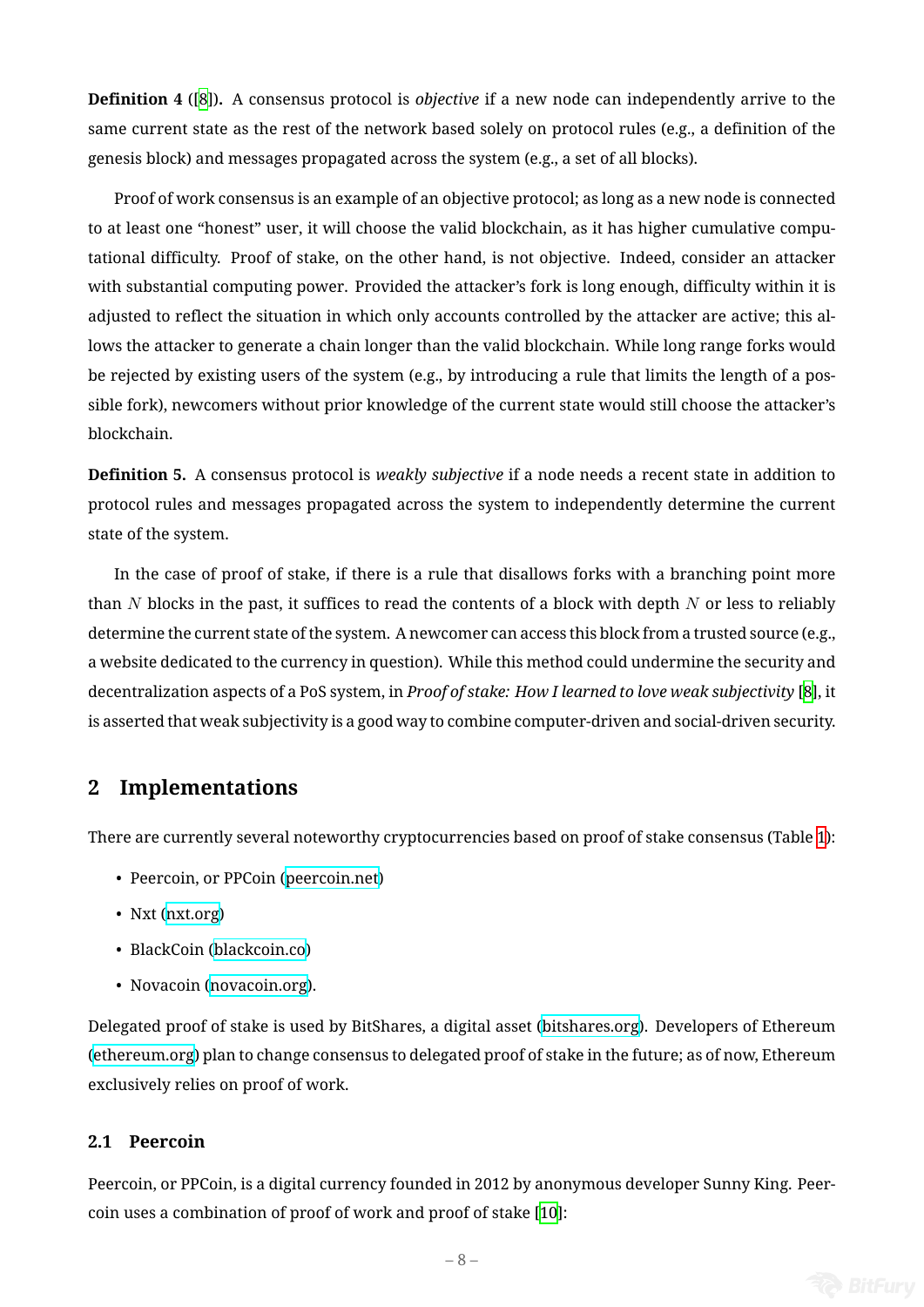**Definition 4** ([8])**.** A consensus protocol is *objective* if a new node can independently arrive to the same current state as the rest of the network based solely on protocol rules (e.g., a definition of the genesis block) [an](#page-24-4)d messages propagated across the system (e.g., a set of all blocks).

Proof of work consensus is an example of an objective protocol; as long as a new node is connected to at least one "honest" user, it will choose the valid blockchain, as it has higher cumulative computational difficulty. Proof of stake, on the other hand, is not objective. Indeed, consider an attacker with substantial computing power. Provided the attacker's fork is long enough, difficulty within it is adjusted to reflect the situation in which only accounts controlled by the attacker are active; this allows the attacker to generate a chain longer than the valid blockchain. While long range forks would be rejected by existing users of the system (e.g., by introducing a rule that limits the length of a possible fork), newcomers without prior knowledge of the current state would still choose the attacker's blockchain.

**Definition 5.** A consensus protocol is *weakly subjective* if a node needs a recent state in addition to protocol rules and messages propagated across the system to independently determine the current state of the system.

In the case of proof of stake, if there is a rule that disallows forks with a branching point more than *N* blocks in the past, it suffices to read the contents of a block with depth *N* or less to reliably determine the current state of the system. A newcomer can access this block from a trusted source (e.g., a website dedicated to the currency in question). While this method could undermine the security and decentralization aspects of a PoS system, in *Proof of stake: How I learned to love weak subjectivity* [8], it is asserted that weak subjectivity is a good way to combine computer-driven and social-driven security.

# **2 Implementations**

There are currently several noteworthy cryptocurrencies based on proof of stake consensus (Table 1):

- Peercoin, or PPCoin (peercoin.net)
- Nxt (nxt.org)
- BlackCoin (blackcoin[.co\)](http://www.peercoin.net/)
- Nov[acoin \(n](http://www.nxt.org/)ovacoin.org).

Delegated proof [of stake is us](http://blackcoin.co/)ed by BitShares, a digital asset (bitshares.org). Developers of Ethereum (ethereum.org) [plan to change](http://novacoin.org/) consensus to delegated proof of stake in the future; as of now, Ethereum exclusively relies on proof of work.

### **[2.1 Peercoin](https://www.ethereum.org/)**

Peercoin, or PPCoin, is a digital currency founded in 2012 by anonymous developer Sunny King. Peercoin uses a combination of proof of work and proof of stake [10]: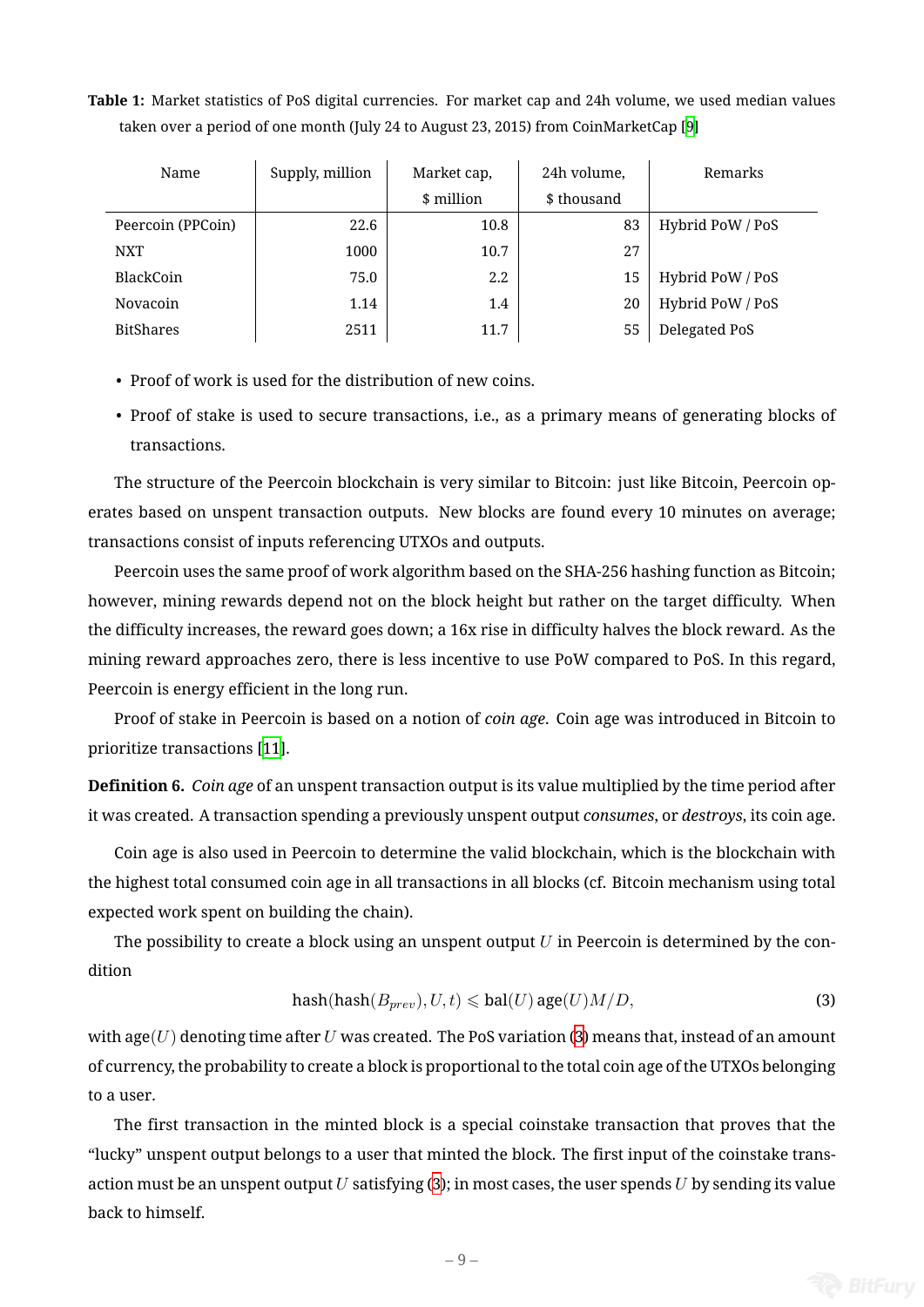| Name |                   | Supply, million | Market cap, | 24h volume, | Remarks          |  |
|------|-------------------|-----------------|-------------|-------------|------------------|--|
|      |                   |                 | \$ million  | \$ thousand |                  |  |
|      | Peercoin (PPCoin) | 22.6            | 10.8        | 83          | Hybrid PoW / PoS |  |
|      | <b>NXT</b>        | 1000            | 10.7        | 27          |                  |  |
|      | BlackCoin         | 75.0            | 2.2         | 15          | Hybrid PoW / PoS |  |
|      | Novacoin          | 1.14            | 1.4         | 20          | Hybrid PoW / PoS |  |
|      | <b>BitShares</b>  | 2511            | 11.7        | 55          | Delegated PoS    |  |

**Table 1:** Market statistics of PoS digital currencies. For market cap and 24h volume, we used median values taken over a period of one month (July 24 to August 23, 2015) from CoinMarketCap [9]

- Proof of work is used for the distribution of new coins.
- Proof of stake is used to secure transactions, i.e., as a primary means of generating blocks of transactions.

The structure of the Peercoin blockchain is very similar to Bitcoin: just like Bitcoin, Peercoin operates based on unspent transaction outputs. New blocks are found every 10 minutes on average; transactions consist of inputs referencing UTXOs and outputs.

Peercoin uses the same proof of work algorithm based on the SHA-256 hashing function as Bitcoin; however, mining rewards depend not on the block height but rather on the target difficulty. When the difficulty increases, the reward goes down; a 16x rise in difficulty halves the block reward. As the mining reward approaches zero, there is less incentive to use PoW compared to PoS. In this regard, Peercoin is energy efficient in the long run.

Proof of stake in Peercoin is based on a notion of *coin age*. Coin age was introduced in Bitcoin to prioritize transactions [11].

**Definition 6.** *Coin age* of an unspent transaction output is its value multiplied by the time period after it was created. A transa[ctio](#page-24-5)n spending a previously unspent output *consumes*, or *destroys*, its coin age.

Coin age is also used in Peercoin to determine the valid blockchain, which is the blockchain with the highest total consumed coin age in all transactions in all blocks (cf. Bitcoin mechanism using total expected work spent on building the chain).

The possibility to create a block using an unspent output *U* in Peercoin is determined by the condition

<span id="page-8-0"></span>
$$
hash(hash(B_{prev}), U, t) \leqslant bal(U) \, age(U) M/D,
$$
\n<sup>(3)</sup>

with age( $U$ ) denoting time after  $U$  was created. The PoS variation (3) means that, instead of an amount of currency, the probability to create a block is proportional to the total coin age of the UTXOs belonging to a user.

The first transaction in the minted block is a special coinsta[ke](#page-8-0) transaction that proves that the "lucky" unspent output belongs to a user that minted the block. The first input of the coinstake transaction must be an unspent output *U* satisfying (3); in most cases, the user spends *U* by sending its value back to himself.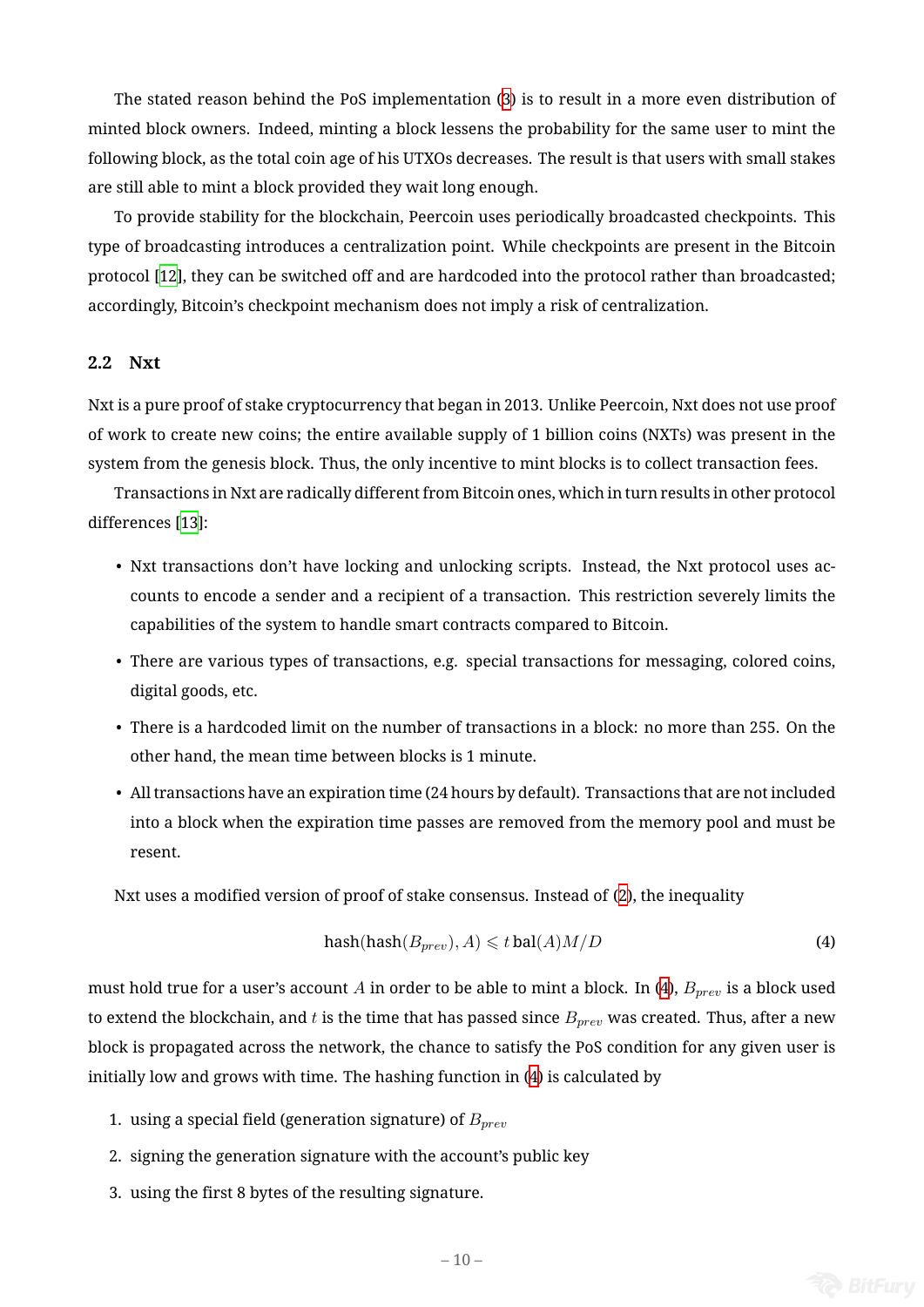The stated reason behind the PoS implementation (3) is to result in a more even distribution of minted block owners. Indeed, minting a block lessens the probability for the same user to mint the following block, as the total coin age of his UTXOs decreases. The result is that users with small stakes are still able to mint a block provided they wait long en[ou](#page-8-0)gh.

To provide stability for the blockchain, Peercoin uses periodically broadcasted checkpoints. This type of broadcasting introduces a centralization point. While checkpoints are present in the Bitcoin protocol [12], they can be switched off and are hardcoded into the protocol rather than broadcasted; accordingly, Bitcoin's checkpoint mechanism does not imply a risk of centralization.

# **2.2 Nx[t](#page-24-6)**

<span id="page-9-1"></span>Nxt is a pure proof of stake cryptocurrency that began in 2013. Unlike Peercoin, Nxt does not use proof of work to create new coins; the entire available supply of 1 billion coins (NXTs) was present in the system from the genesis block. Thus, the only incentive to mint blocks is to collect transaction fees.

Transactions in Nxt are radically different from Bitcoin ones, which in turn results in other protocol differences [13]:

- Nxt transactions don't have locking and unlocking scripts. Instead, the Nxt protocol uses accounts [to](#page-24-7) encode a sender and a recipient of a transaction. This restriction severely limits the capabilities of the system to handle smart contracts compared to Bitcoin.
- There are various types of transactions, e.g. special transactions for messaging, colored coins, digital goods, etc.
- There is a hardcoded limit on the number of transactions in a block: no more than 255. On the other hand, the mean time between blocks is 1 minute.
- All transactions have an expiration time (24 hours by default). Transactions that are not included into a block when the expiration time passes are removed from the memory pool and must be resent.

Nxt uses a modified version of proof of stake consensus. Instead of (2), the inequality

<span id="page-9-0"></span>
$$
hash(hash(B_{prev}), A) \leqslant t \, ball(A) M/D \tag{4}
$$

must hold true for a user's account *A* in order to be able to mint a bloc[k.](#page-5-1) In (4), *Bprev* is a block used to extend the blockchain, and  $t$  is the time that has passed since  $B_{prev}$  was created. Thus, after a new block is propagated across the network, the chance to satisfy the PoS conditi[on](#page-9-0) for any given user is initially low and grows with time. The hashing function in (4) is calculated by

- 1. using a special field (generation signature) of *Bprev*
- 2. signing the generation signature with the account's p[ub](#page-9-0)lic key
- 3. using the first 8 bytes of the resulting signature.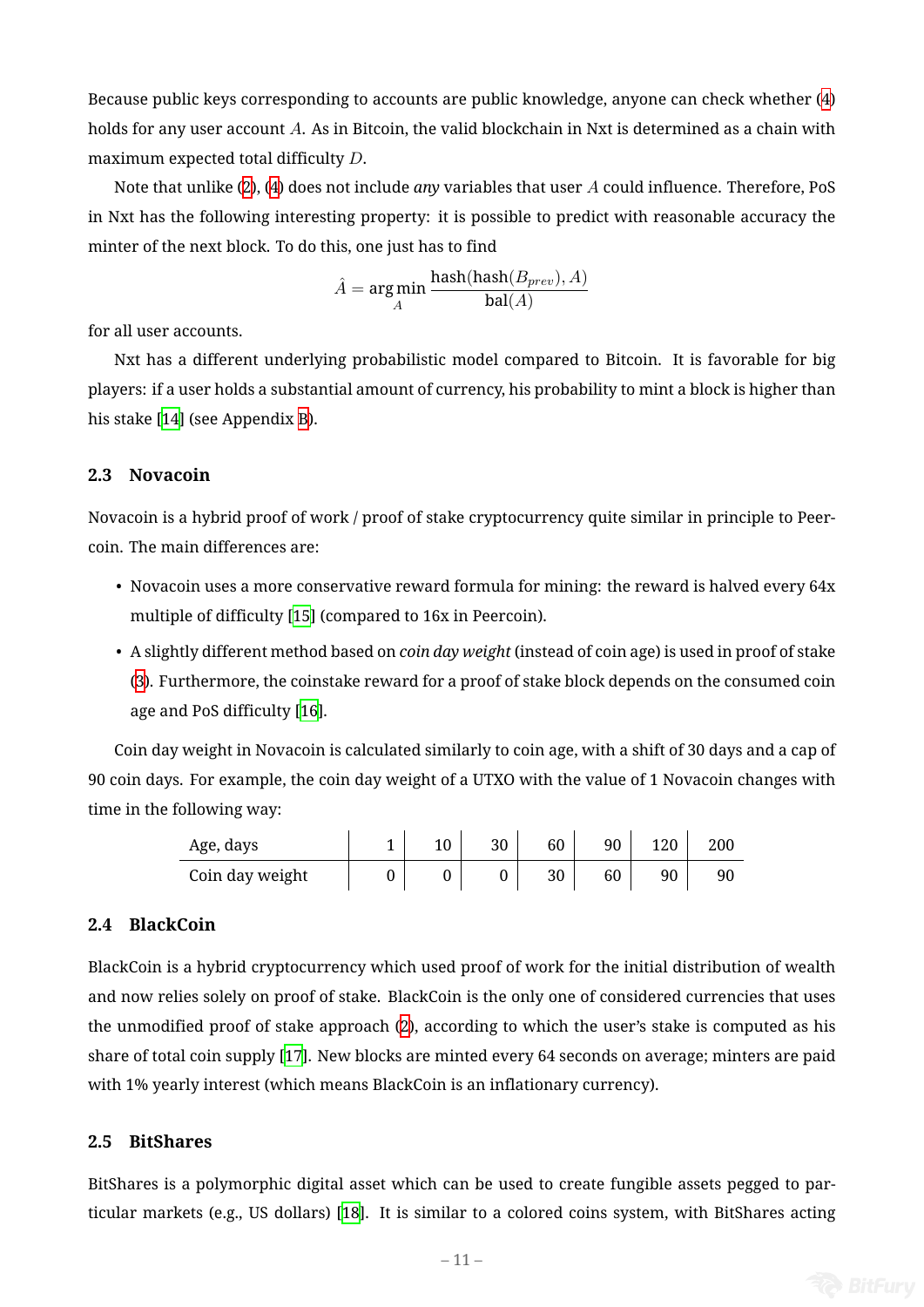Because public keys corresponding to accounts are public knowledge, anyone can check whether (4) holds for any user account *A*. As in Bitcoin, the valid blockchain in Nxt is determined as a chain with maximum expected total difficulty *D*.

Note that unlike (2), (4) does not include *any* variables that user *A* could influence. Therefore, P[oS](#page-9-0) in Nxt has the following interesting property: it is possible to predict with reasonable accuracy the minter of the next bl[oc](#page-5-1)k[. T](#page-9-0)o do this, one just has to find

$$
\hat{A} = \underset{A}{\text{arg}\min} \, \frac{\text{hash}(\text{hash}(B_{prev}), A)}{\text{bal}(A)}
$$

for all user accounts.

Nxt has a different underlying probabilistic model compared to Bitcoin. It is favorable for big players: if a user holds a substantial amount of currency, his probability to mint a block is higher than his stake [14] (see Appendix B).

# **2.3 Novacoin**

Novacoin is a hybrid proof of work / proof of stake cryptocurrency quite similar in principle to Peercoin. The main differences are:

- Novacoin uses a more conservative reward formula for mining: the reward is halved every 64x multiple of difficulty [15] (compared to 16x in Peercoin).
- A slightly different method based on *coin day weight* (instead of coin age) is used in proof of stake (3). Furthermore, the [coi](#page-25-0)nstake reward for a proof of stake block depends on the consumed coin age and PoS difficulty [16].

Co[in](#page-8-0) day weight in Novacoin is calculated similarly to coin age, with a shift of 30 days and a cap of 90 coin days. For example, t[he](#page-25-1) coin day weight of a UTXO with the value of 1 Novacoin changes with time in the following way:

| Age, days       |  | 30 | 60 | 90 | 120 | 200 |
|-----------------|--|----|----|----|-----|-----|
| Coin day weight |  |    | 30 | 60 | 90  | 90  |

## **2.4 BlackCoin**

BlackCoin is a hybrid cryptocurrency which used proof of work for the initial distribution of wealth and now relies solely on proof of stake. BlackCoin is the only one of considered currencies that uses the unmodified proof of stake approach (2), according to which the user's stake is computed as his share of total coin supply [17]. New blocks are minted every 64 seconds on average; minters are paid with 1% yearly interest (which means Bla[ck](#page-5-1)Coin is an inflationary currency).

### **2.5 BitShares**

<span id="page-10-0"></span>BitShares is a polymorphic digital asset which can be used to create fungible assets pegged to particular markets (e.g., US dollars) [18]. It is similar to a colored coins system, with BitShares acting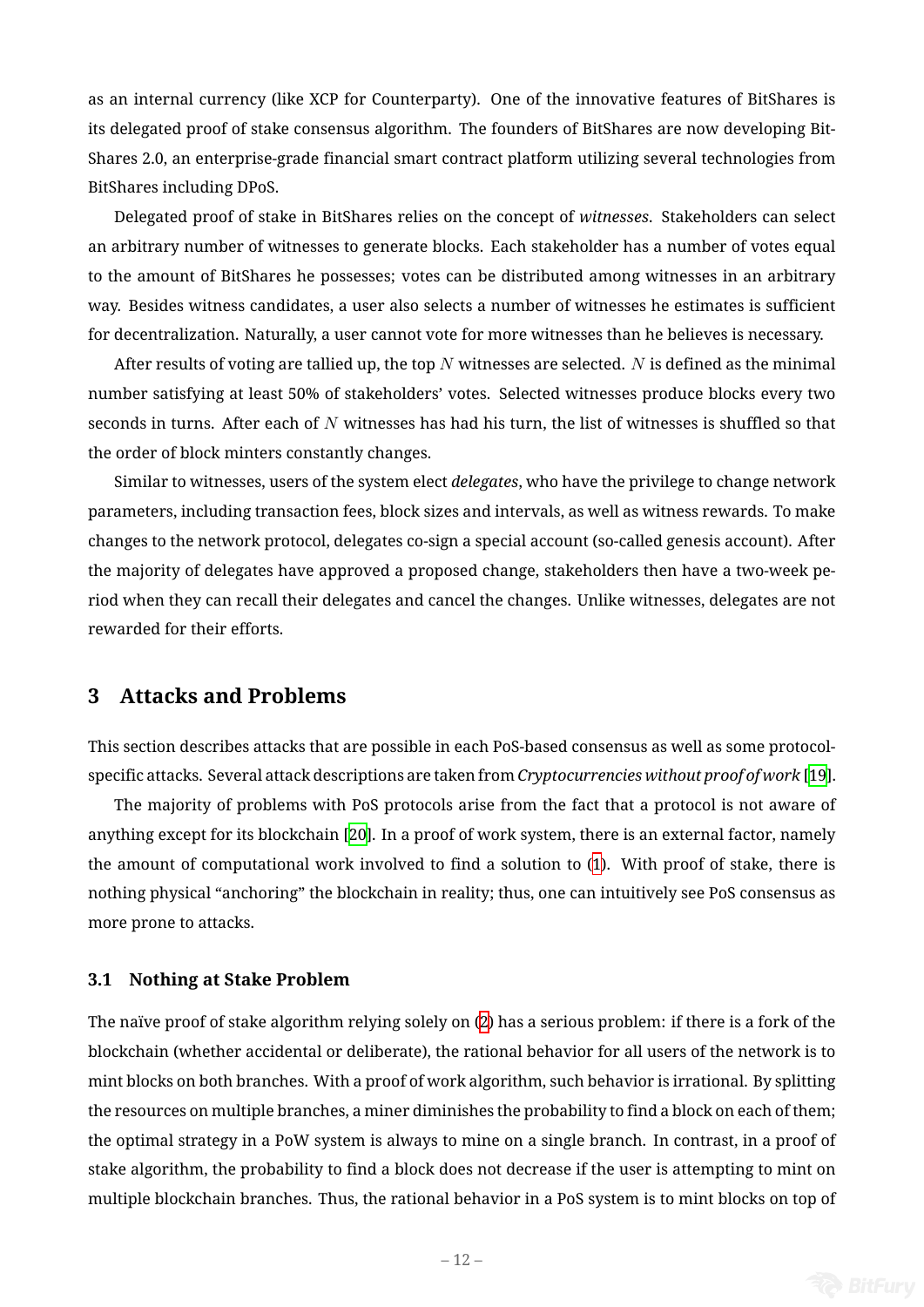as an internal currency (like XCP for Counterparty). One of the innovative features of BitShares is its delegated proof of stake consensus algorithm. The founders of BitShares are now developing Bit-Shares 2.0, an enterprise-grade financial smart contract platform utilizing several technologies from BitShares including DPoS.

Delegated proof of stake in BitShares relies on the concept of *witnesses*. Stakeholders can select an arbitrary number of witnesses to generate blocks. Each stakeholder has a number of votes equal to the amount of BitShares he possesses; votes can be distributed among witnesses in an arbitrary way. Besides witness candidates, a user also selects a number of witnesses he estimates is sufficient for decentralization. Naturally, a user cannot vote for more witnesses than he believes is necessary.

After results of voting are tallied up, the top *N* witnesses are selected. *N* is defined as the minimal number satisfying at least 50% of stakeholders' votes. Selected witnesses produce blocks every two seconds in turns. After each of *N* witnesses has had his turn, the list of witnesses is shuffled so that the order of block minters constantly changes.

Similar to witnesses, users of the system elect *delegates*, who have the privilege to change network parameters, including transaction fees, block sizes and intervals, as well as witness rewards. To make changes to the network protocol, delegates co-sign a special account (so-called genesis account). After the majority of delegates have approved a proposed change, stakeholders then have a two-week period when they can recall their delegates and cancel the changes. Unlike witnesses, delegates are not rewarded for their efforts.

# **3 Attacks and Problems**

This section describes attacks that are possible in each PoS-based consensus as well as some protocolspecific attacks. Several attack descriptions are taken from *Cryptocurrencies without proof of work* [19].

The majority of problems with PoS protocols arise from the fact that a protocol is not aware of anything except for its blockchain [20]. In a proof of work system, there is an external factor, namely the amount of computational work involved to find a solution to (1). With proof of stake, ther[e i](#page-25-2)s nothing physical "anchoring" the b[loc](#page-25-3)kchain in reality; thus, one can intuitively see PoS consensus as more prone to attacks.

#### **3.1 Nothing at Stake Problem**

<span id="page-11-0"></span>The naïve proof of stake algorithm relying solely on (2) has a serious problem: if there is a fork of the blockchain (whether accidental or deliberate), the rational behavior for all users of the network is to mint blocks on both branches. With a proof of work algorithm, such behavior is irrational. By splitting the resources on multiple branches, a miner diminish[es](#page-5-1) the probability to find a block on each of them; the optimal strategy in a PoW system is always to mine on a single branch. In contrast, in a proof of stake algorithm, the probability to find a block does not decrease if the user is attempting to mint on multiple blockchain branches. Thus, the rational behavior in a PoS system is to mint blocks on top of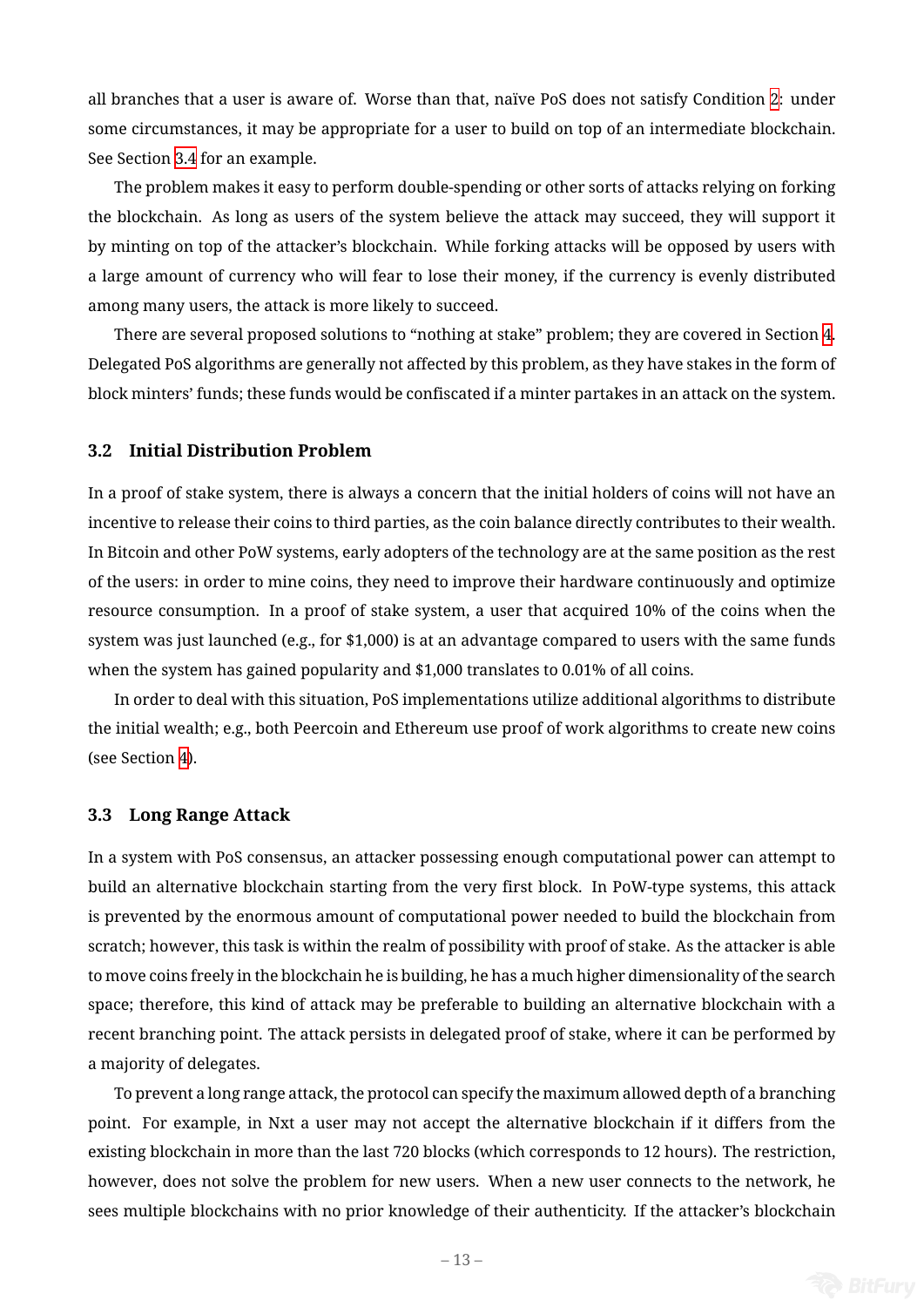all branches that a user is aware of. Worse than that, naïve PoS does not satisfy Condition 2: under some circumstances, it may be appropriate for a user to build on top of an intermediate blockchain. See Section 3.4 for an example.

The problem makes it easy to perform double-spending or other sorts of attacks relying o[n](#page-3-1) forking the blockchain. As long as users of the system believe the attack may succeed, they will support it by minting [on](#page-13-0) top of the attacker's blockchain. While forking attacks will be opposed by users with a large amount of currency who will fear to lose their money, if the currency is evenly distributed among many users, the attack is more likely to succeed.

There are several proposed solutions to "nothing at stake" problem; they are covered in Section 4. Delegated PoS algorithms are generally not affected by this problem, as they have stakes in the form of block minters' funds; these funds would be confiscated if a minter partakes in an attack on the syste[m](#page-18-0).

#### **3.2 Initial Distribution Problem**

<span id="page-12-0"></span>In a proof of stake system, there is always a concern that the initial holders of coins will not have an incentive to release their coins to third parties, as the coin balance directly contributes to their wealth. In Bitcoin and other PoW systems, early adopters of the technology are at the same position as the rest of the users: in order to mine coins, they need to improve their hardware continuously and optimize resource consumption. In a proof of stake system, a user that acquired 10% of the coins when the system was just launched (e.g., for \$1,000) is at an advantage compared to users with the same funds when the system has gained popularity and \$1,000 translates to 0.01% of all coins.

In order to deal with this situation, PoS implementations utilize additional algorithms to distribute the initial wealth; e.g., both Peercoin and Ethereum use proof of work algorithms to create new coins (see Section 4).

# **3.3 Long [R](#page-18-0)ange Attack**

In a system with PoS consensus, an attacker possessing enough computational power can attempt to build an alternative blockchain starting from the very first block. In PoW-type systems, this attack is prevented by the enormous amount of computational power needed to build the blockchain from scratch; however, this task is within the realm of possibility with proof of stake. As the attacker is able to move coins freely in the blockchain he is building, he has a much higher dimensionality of the search space; therefore, this kind of attack may be preferable to building an alternative blockchain with a recent branching point. The attack persists in delegated proof of stake, where it can be performed by a majority of delegates.

To prevent a long range attack, the protocol can specify the maximum allowed depth of a branching point. For example, in Nxt a user may not accept the alternative blockchain if it differs from the existing blockchain in more than the last 720 blocks (which corresponds to 12 hours). The restriction, however, does not solve the problem for new users. When a new user connects to the network, he sees multiple blockchains with no prior knowledge of their authenticity. If the attacker's blockchain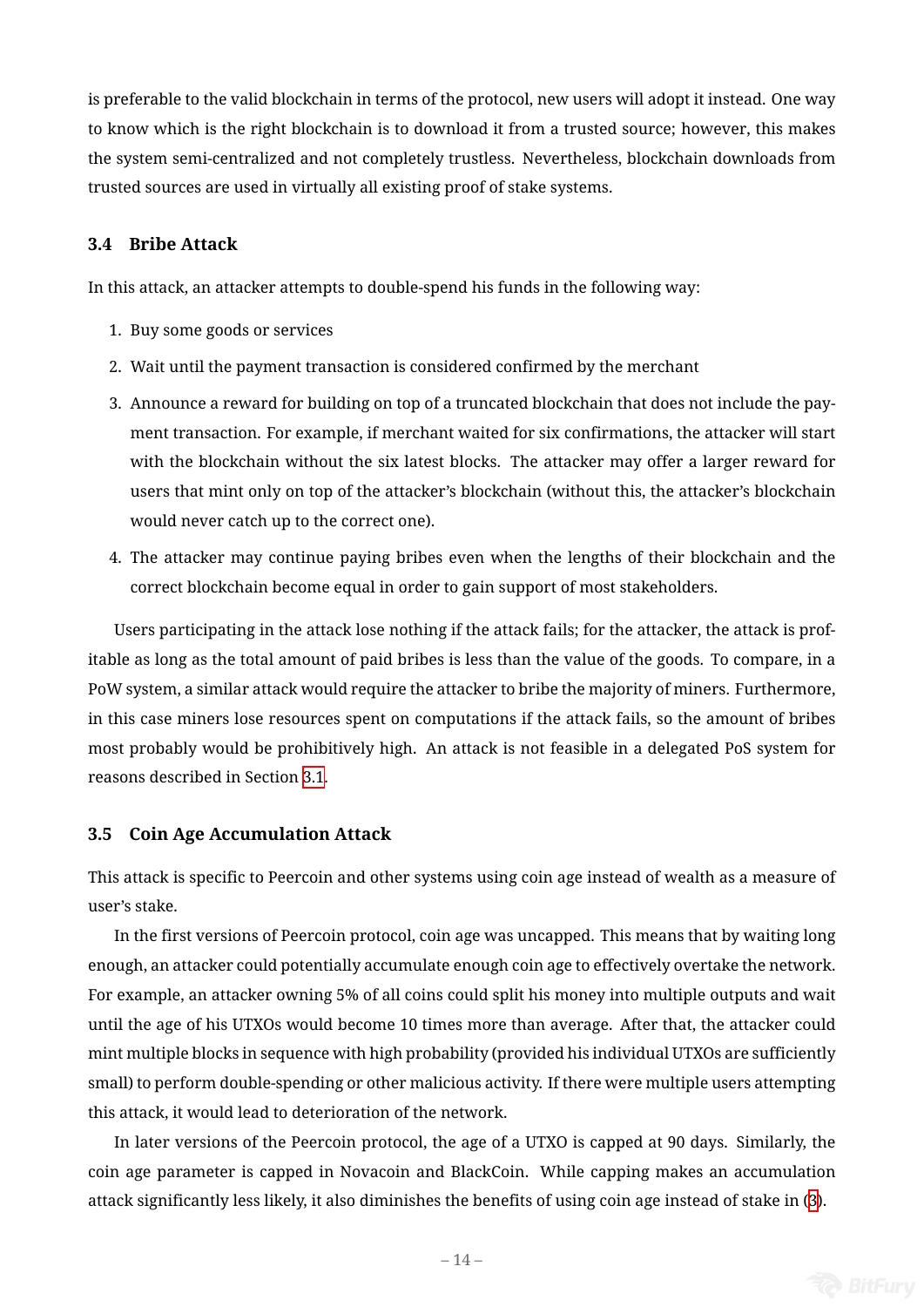is preferable to the valid blockchain in terms of the protocol, new users will adopt it instead. One way to know which is the right blockchain is to download it from a trusted source; however, this makes the system semi-centralized and not completely trustless. Nevertheless, blockchain downloads from trusted sources are used in virtually all existing proof of stake systems.

# **3.4 Bribe Attack**

<span id="page-13-0"></span>In this attack, an attacker attempts to double-spend his funds in the following way:

- 1. Buy some goods or services
- 2. Wait until the payment transaction is considered confirmed by the merchant
- 3. Announce a reward for building on top of a truncated blockchain that does not include the payment transaction. For example, if merchant waited for six confirmations, the attacker will start with the blockchain without the six latest blocks. The attacker may offer a larger reward for users that mint only on top of the attacker's blockchain (without this, the attacker's blockchain would never catch up to the correct one).
- 4. The attacker may continue paying bribes even when the lengths of their blockchain and the correct blockchain become equal in order to gain support of most stakeholders.

Users participating in the attack lose nothing if the attack fails; for the attacker, the attack is profitable as long as the total amount of paid bribes is less than the value of the goods. To compare, in a PoW system, a similar attack would require the attacker to bribe the majority of miners. Furthermore, in this case miners lose resources spent on computations if the attack fails, so the amount of bribes most probably would be prohibitively high. An attack is not feasible in a delegated PoS system for reasons described in Section 3.1.

### **3.5 Coin Age Accumulat[ion](#page-11-0) Attack**

<span id="page-13-1"></span>This attack is specific to Peercoin and other systems using coin age instead of wealth as a measure of user's stake.

In the first versions of Peercoin protocol, coin age was uncapped. This means that by waiting long enough, an attacker could potentially accumulate enough coin age to effectively overtake the network. For example, an attacker owning 5% of all coins could split his money into multiple outputs and wait until the age of his UTXOs would become 10 times more than average. After that, the attacker could mint multiple blocks in sequence with high probability (provided his individual UTXOs are sufficiently small) to perform double-spending or other malicious activity. If there were multiple users attempting this attack, it would lead to deterioration of the network.

In later versions of the Peercoin protocol, the age of a UTXO is capped at 90 days. Similarly, the coin age parameter is capped in Novacoin and BlackCoin. While capping makes an accumulation attack significantly less likely, it also diminishes the benefits of using coin age instead of stake in (3).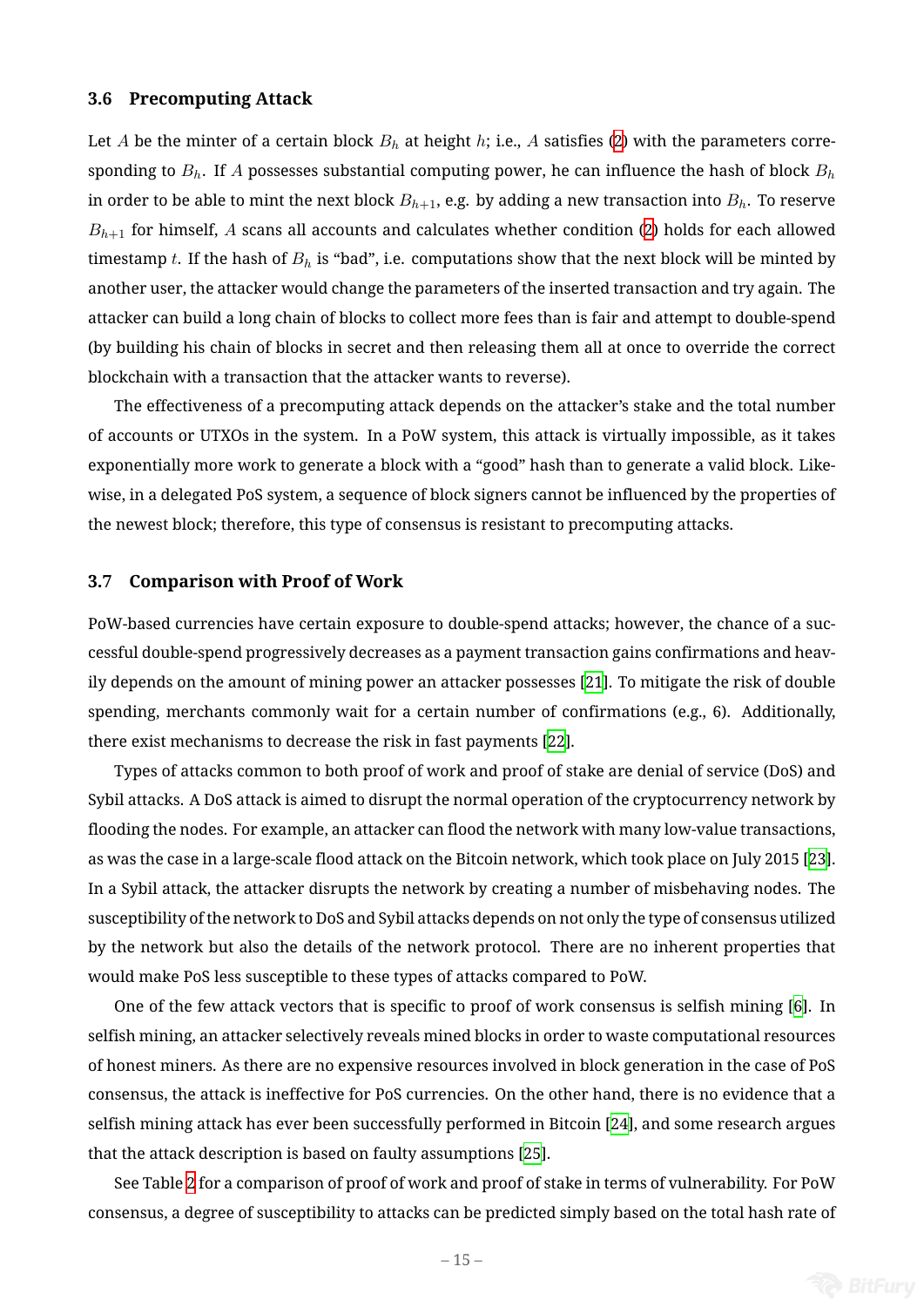#### **3.6 Precomputing Attack**

Let *A* be the minter of a certain block  $B_h$  at height *h*; i.e., *A* satisfies (2) with the parameters corresponding to *Bh*. If *A* possesses substantial computing power, he can influence the hash of block *B<sup>h</sup>* in order to be able to mint the next block  $B_{h+1}$ , e.g. by adding a new transaction into  $B_h$ . To reserve  $B_{h+1}$  for himself, A scans all accounts and calculates whether condit[io](#page-5-1)n (2) holds for each allowed timestamp *t*. If the hash of  $B_h$  is "bad", i.e. computations show that the next block will be minted by another user, the attacker would change the parameters of the inserted transaction and try again. The attacker can build a long chain of blocks to collect more fees than is fair an[d](#page-5-1) attempt to double-spend (by building his chain of blocks in secret and then releasing them all at once to override the correct blockchain with a transaction that the attacker wants to reverse).

The effectiveness of a precomputing attack depends on the attacker's stake and the total number of accounts or UTXOs in the system. In a PoW system, this attack is virtually impossible, as it takes exponentially more work to generate a block with a "good" hash than to generate a valid block. Likewise, in a delegated PoS system, a sequence of block signers cannot be influenced by the properties of the newest block; therefore, this type of consensus is resistant to precomputing attacks.

## **3.7 Comparison with Proof of Work**

PoW-based currencies have certain exposure to double-spend attacks; however, the chance of a successful double-spend progressively decreases as a payment transaction gains confirmations and heavily depends on the amount of mining power an attacker possesses [21]. To mitigate the risk of double spending, merchants commonly wait for a certain number of confirmations (e.g., 6). Additionally, there exist mechanisms to decrease the risk in fast payments [22].

Types of attacks common to both proof of work and proof of st[ake](#page-25-4) are denial of service (DoS) and Sybil attacks. A DoS attack is aimed to disrupt the normal operation of the cryptocurrency network by flooding the nodes. For example, an attacker can flood the net[wor](#page-25-5)k with many low-value transactions, as was the case in a large-scale flood attack on the Bitcoin network, which took place on July 2015 [23]. In a Sybil attack, the attacker disrupts the network by creating a number of misbehaving nodes. The susceptibility of the network to DoS and Sybil attacks depends on not only the type of consensus utilized by the network but also the details of the network protocol. There are no inherent properties [tha](#page-25-6)t would make PoS less susceptible to these types of attacks compared to PoW.

One of the few attack vectors that is specific to proof of work consensus is selfish mining [6]. In selfish mining, an attacker selectively reveals mined blocks in order to waste computational resources of honest miners. As there are no expensive resources involved in block generation in the case of PoS consensus, the attack is ineffective for PoS currencies. On the other hand, there is no evidence [th](#page-24-8)at a selfish mining attack has ever been successfully performed in Bitcoin [24], and some research argues that the attack description is based on faulty assumptions [25].

See Table 2 for a comparison of proof of work and proof of stake in terms of vulnerability. For PoW consensus, a degree of susceptibility to attacks can be pred[icte](#page-25-8)d simply [ba](#page-25-7)sed on the total hash rate of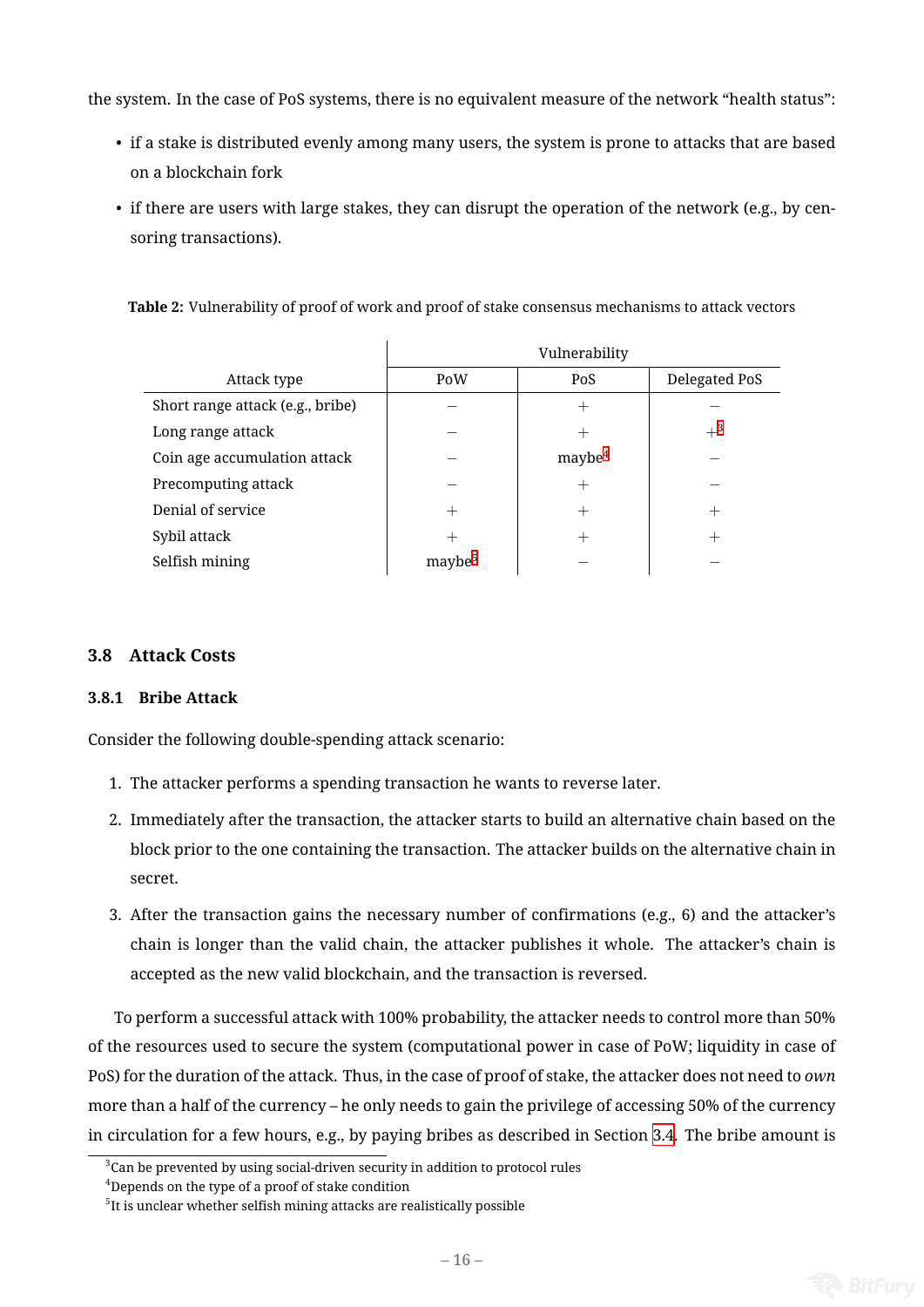the system. In the case of PoS systems, there is no equivalent measure of the network "health status":

- if a stake is distributed evenly among many users, the system is prone to attacks that are based on a blockchain fork
- if there are users with large stakes, they can disrupt the operation of the network (e.g., by censoring transactions).

| Attack type                      | PoW                | PoS          | Delegated PoS |
|----------------------------------|--------------------|--------------|---------------|
| Short range attack (e.g., bribe) |                    |              |               |
| Long range attack                |                    |              | $+^{3}$       |
| Coin age accumulation attack     |                    | $m$ aybe $4$ |               |
| Precomputing attack              |                    | $^+$         |               |
| Denial of service                |                    |              | $^+$          |
| Sybil attack                     |                    |              | $^+$          |
| Selfish mining                   | maybe <sup>5</sup> |              |               |

**Table 2:** Vulnerability of proof of work and proof of stake consensus mechanisms to attack vectors

# **3.8 Attack Costs**

## **3.8.1 Bribe Attack**

Consider the following double-spending attack scenario:

- 1. The attacker performs a spending transaction he wants to reverse later.
- 2. Immediately after the transaction, the attacker starts to build an alternative chain based on the block prior to the one containing the transaction. The attacker builds on the alternative chain in secret.
- 3. After the transaction gains the necessary number of confirmations (e.g., 6) and the attacker's chain is longer than the valid chain, the attacker publishes it whole. The attacker's chain is accepted as the new valid blockchain, and the transaction is reversed.

To perform a successful attack with 100% probability, the attacker needs to control more than 50% of the resources used to secure the system (computational power in case of PoW; liquidity in case of PoS) for the duration of the attack. Thus, in the case of proof of stake, the attacker does not need to *own* more than a half of the currency – he only needs to gain the privilege of accessing 50% of the currency in circulation for a few hours, e.g., by paying bribes as described in Section 3.4. The bribe amount is

 $^3$ Can be prevented by using social-driven security in addition to protocol rules

<sup>&</sup>lt;sup>4</sup>Depends on the type of a proof of stake condition

 $^{\rm 5}$ It is unclear whether selfish mining attacks are realistically possible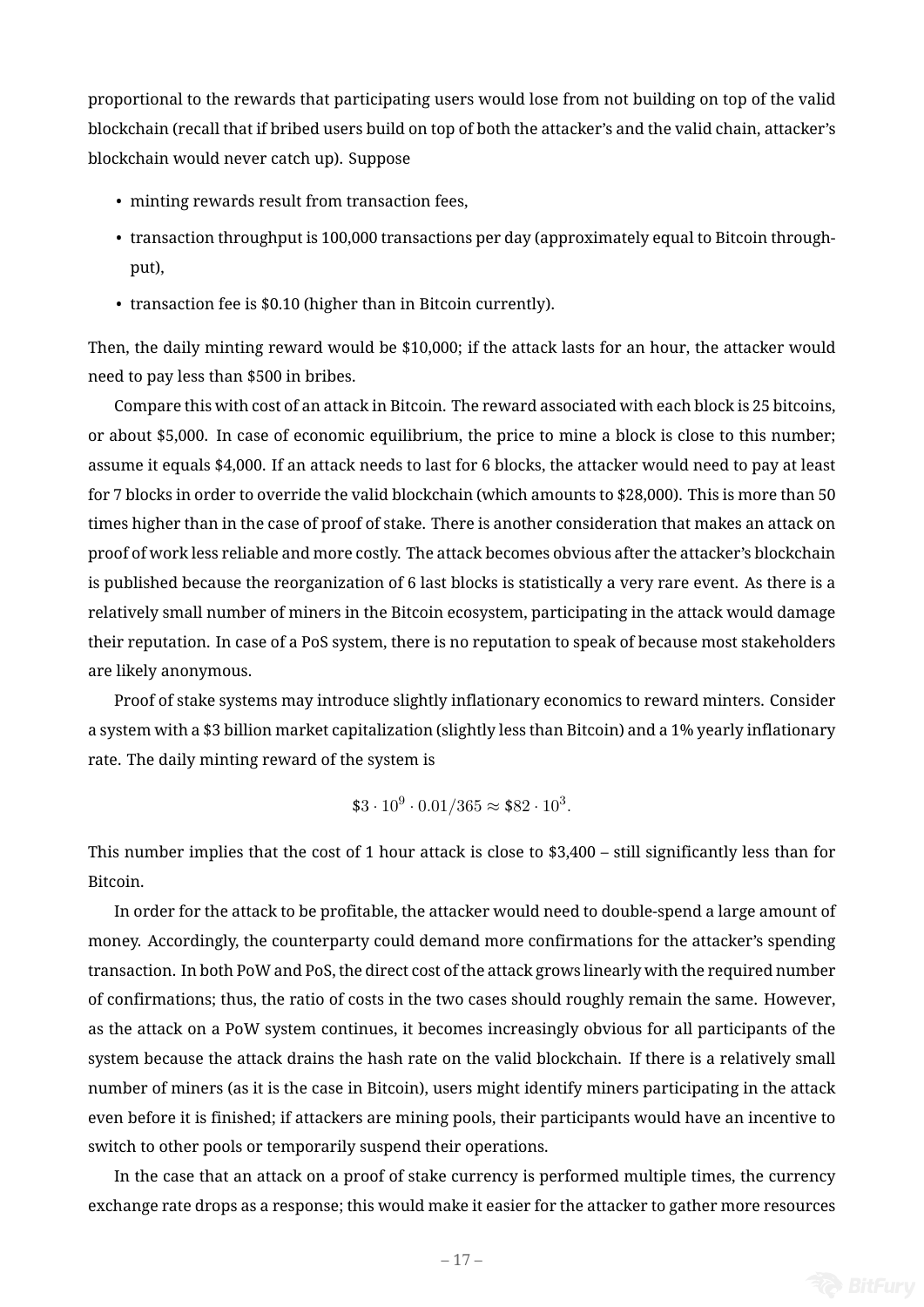proportional to the rewards that participating users would lose from not building on top of the valid blockchain (recall that if bribed users build on top of both the attacker's and the valid chain, attacker's blockchain would never catch up). Suppose

- minting rewards result from transaction fees,
- transaction throughput is 100,000 transactions per day (approximately equal to Bitcoin throughput),
- transaction fee is \$0.10 (higher than in Bitcoin currently).

Then, the daily minting reward would be \$10,000; if the attack lasts for an hour, the attacker would need to pay less than \$500 in bribes.

Compare this with cost of an attack in Bitcoin. The reward associated with each block is 25 bitcoins, or about \$5,000. In case of economic equilibrium, the price to mine a block is close to this number; assume it equals \$4,000. If an attack needs to last for 6 blocks, the attacker would need to pay at least for 7 blocks in order to override the valid blockchain (which amounts to \$28,000). This is more than 50 times higher than in the case of proof of stake. There is another consideration that makes an attack on proof of work less reliable and more costly. The attack becomes obvious after the attacker's blockchain is published because the reorganization of 6 last blocks is statistically a very rare event. As there is a relatively small number of miners in the Bitcoin ecosystem, participating in the attack would damage their reputation. In case of a PoS system, there is no reputation to speak of because most stakeholders are likely anonymous.

Proof of stake systems may introduce slightly inflationary economics to reward minters. Consider a system with a \$3 billion market capitalization (slightly less than Bitcoin) and a 1% yearly inflationary rate. The daily minting reward of the system is

$$
$3 \cdot 10^9 \cdot 0.01 / 365 \approx $82 \cdot 10^3.
$$

This number implies that the cost of 1 hour attack is close to \$3,400 – still significantly less than for Bitcoin.

In order for the attack to be profitable, the attacker would need to double-spend a large amount of money. Accordingly, the counterparty could demand more confirmations for the attacker's spending transaction. In both PoW and PoS, the direct cost of the attack grows linearly with the required number of confirmations; thus, the ratio of costs in the two cases should roughly remain the same. However, as the attack on a PoW system continues, it becomes increasingly obvious for all participants of the system because the attack drains the hash rate on the valid blockchain. If there is a relatively small number of miners (as it is the case in Bitcoin), users might identify miners participating in the attack even before it is finished; if attackers are mining pools, their participants would have an incentive to switch to other pools or temporarily suspend their operations.

In the case that an attack on a proof of stake currency is performed multiple times, the currency exchange rate drops as a response; this would make it easier for the attacker to gather more resources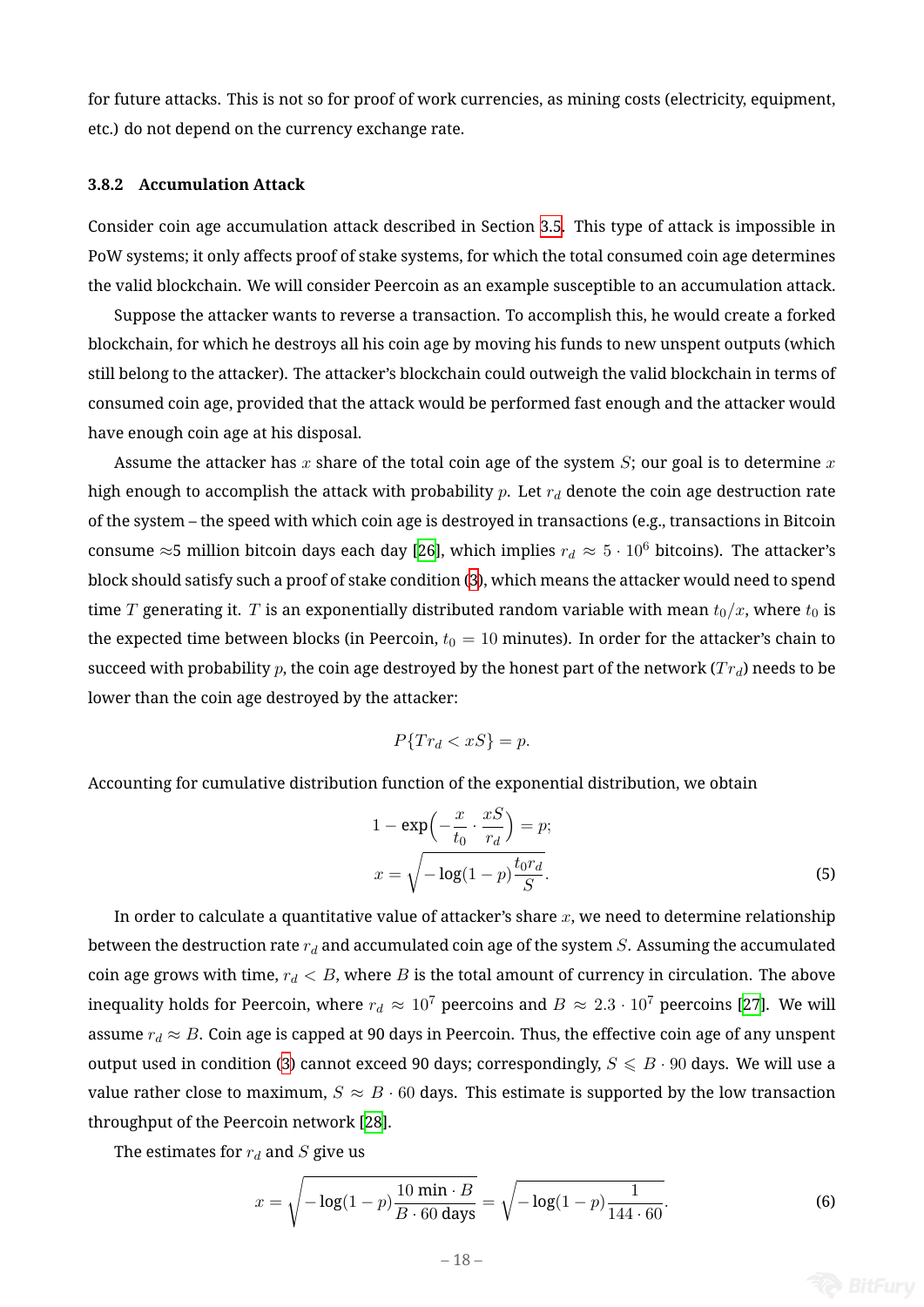for future attacks. This is not so for proof of work currencies, as mining costs (electricity, equipment, etc.) do not depend on the currency exchange rate.

### **3.8.2 Accumulation Attack**

Consider coin age accumulation attack described in Section 3.5. This type of attack is impossible in PoW systems; it only affects proof of stake systems, for which the total consumed coin age determines the valid blockchain. We will consider Peercoin as an example susceptible to an accumulation attack.

Suppose the attacker wants to reverse a transaction. To a[ccom](#page-13-1)plish this, he would create a forked blockchain, for which he destroys all his coin age by moving his funds to new unspent outputs (which still belong to the attacker). The attacker's blockchain could outweigh the valid blockchain in terms of consumed coin age, provided that the attack would be performed fast enough and the attacker would have enough coin age at his disposal.

Assume the attacker has *x* share of the total coin age of the system *S*; our goal is to determine *x* high enough to accomplish the attack with probability *p*. Let *r<sup>d</sup>* denote the coin age destruction rate of the system – the speed with which coin age is destroyed in transactions (e.g., transactions in Bitcoin consume  $\approx$ 5 million bitcoin days each day [26], which implies  $r_d \approx 5 \cdot 10^6$  bitcoins). The attacker's block should satisfy such a proof of stake condition (3), which means the attacker would need to spend time *T* generating it. *T* is an exponentially distributed random variable with mean  $t_0/x$ , where  $t_0$  is the expected time between blocks (in Peerc[oin,](#page-25-9)  $t_0 = 10$  minutes). In order for the attacker's chain to succeed with probability *p*, the coin age destroyed b[y](#page-8-0) the honest part of the network (*T rd*) needs to be lower than the coin age destroyed by the attacker:

$$
P\{Tr_d < xS\} = p.
$$

Accounting for cumulative distribution function of the exponential distribution, we obtain

$$
1 - \exp\left(-\frac{x}{t_0} \cdot \frac{xS}{r_d}\right) = p;
$$
  

$$
x = \sqrt{-\log(1-p)\frac{t_0r_d}{S}}.
$$
 (5)

In order to calculate a quantitative value of attacker's share *x*, we need to determine relationship between the destruction rate *r<sup>d</sup>* and accumulated coin age of the system *S*. Assuming the accumulated coin age grows with time,  $r_d < B$ , where *B* is the total amount of currency in circulation. The above inequality holds for Peercoin, where  $r_d \approx 10^7$  peercoins and  $B \approx 2.3 \cdot 10^7$  peercoins [27]. We will assume  $r_d \approx B$ . Coin age is capped at 90 days in Peercoin. Thus, the effective coin age of any unspent output used in condition (3) cannot exceed 90 days; correspondingly,  $S \leq B \cdot 90$  days. We will use a value rather close to maximum,  $S \approx B \cdot 60$  days. This estimate is supported by the lo[w tr](#page-25-10)ansaction throughput of the Peercoin network [28].

The estimates for *r<sup>d</sup>* a[nd](#page-8-0) *S* give us

<span id="page-17-0"></span>
$$
x = \sqrt{-\log(1-p)\frac{10 \text{ min} \cdot B}{B \cdot 60 \text{ days}}} = \sqrt{-\log(1-p)\frac{1}{144 \cdot 60}}.
$$
 (6)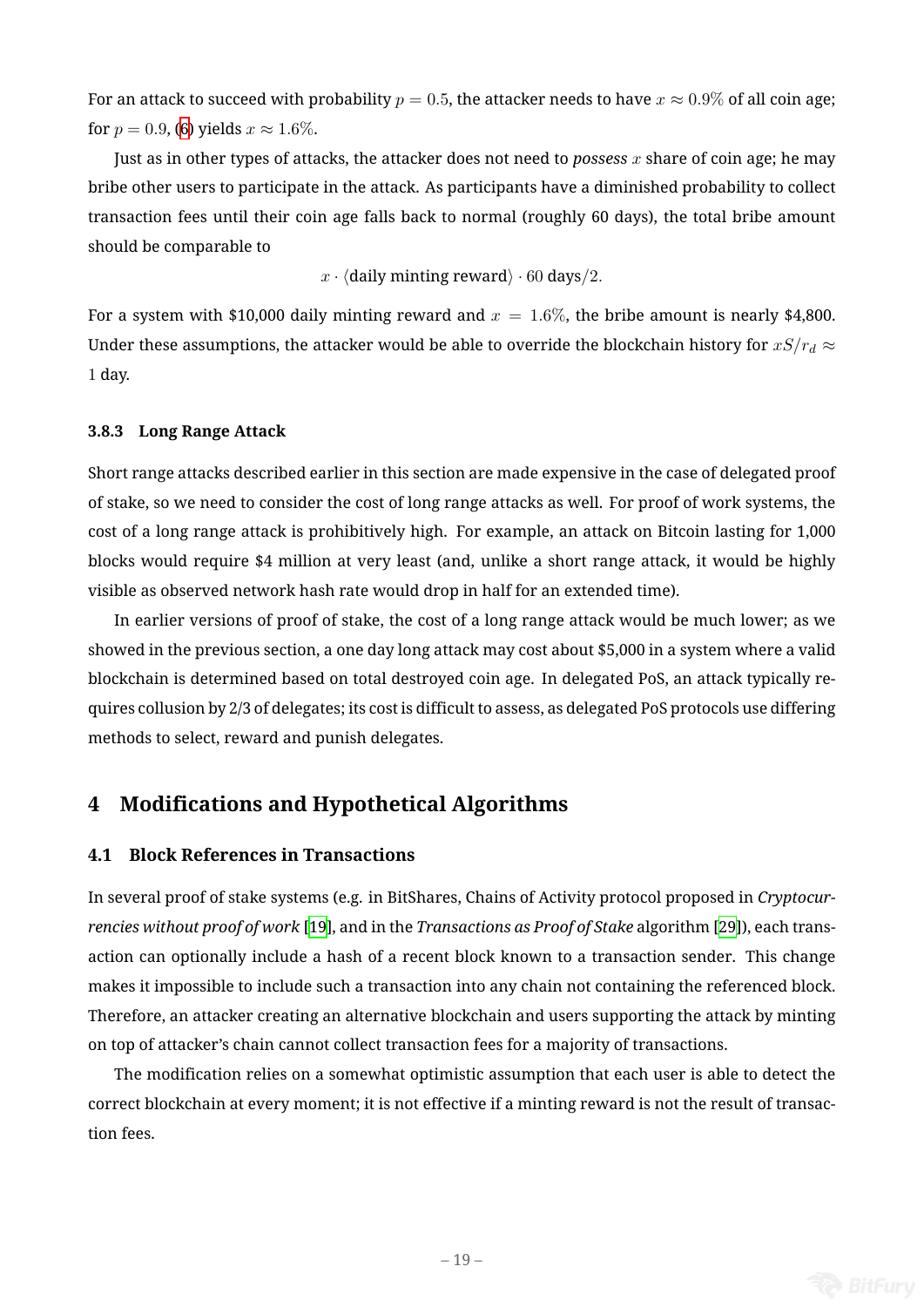For an attack to succeed with probability  $p = 0.5$ , the attacker needs to have  $x \approx 0.9\%$  of all coin age; for  $p = 0.9$ , (6) yields  $x \approx 1.6\%$ .

Just as in other types of attacks, the attacker does not need to *possess x* share of coin age; he may bribe other users to participate in the attack. As participants have a diminished probability to collect transaction [fe](#page-17-0)es until their coin age falls back to normal (roughly 60 days), the total bribe amount should be comparable to

*x · ⟨*daily minting reward*⟩ ·* 60 days*/*2*.*

For a system with \$10,000 daily minting reward and  $x = 1.6\%$ , the bribe amount is nearly \$4,800. Under these assumptions, the attacker would be able to override the blockchain history for  $xS/r_d \approx$ 1 day.

# **3.8.3 Long Range Attack**

Short range attacks described earlier in this section are made expensive in the case of delegated proof of stake, so we need to consider the cost of long range attacks as well. For proof of work systems, the cost of a long range attack is prohibitively high. For example, an attack on Bitcoin lasting for 1,000 blocks would require \$4 million at very least (and, unlike a short range attack, it would be highly visible as observed network hash rate would drop in half for an extended time).

In earlier versions of proof of stake, the cost of a long range attack would be much lower; as we showed in the previous section, a one day long attack may cost about \$5,000 in a system where a valid blockchain is determined based on total destroyed coin age. In delegated PoS, an attack typically requires collusion by 2/3 of delegates; its cost is difficult to assess, as delegated PoS protocols use differing methods to select, reward and punish delegates.

# **4 Modifications and Hypothetical Algorithms**

## <span id="page-18-0"></span>**4.1 Block References in Transactions**

In several proof of stake systems (e.g. in BitShares, Chains of Activity protocol proposed in *Cryptocurrencies without proof of work* [19], and in the *Transactions as Proof of Stake* algorithm [29]), each transaction can optionally include a hash of a recent block known to a transaction sender. This change makes it impossible to include such a transaction into any chain not containing the referenced block. Therefore, an attacker creati[ng a](#page-25-2)n alternative blockchain and users supporting the a[ttac](#page-25-12)k by minting on top of attacker's chain cannot collect transaction fees for a majority of transactions.

The modification relies on a somewhat optimistic assumption that each user is able to detect the correct blockchain at every moment; it is not effective if a minting reward is not the result of transaction fees.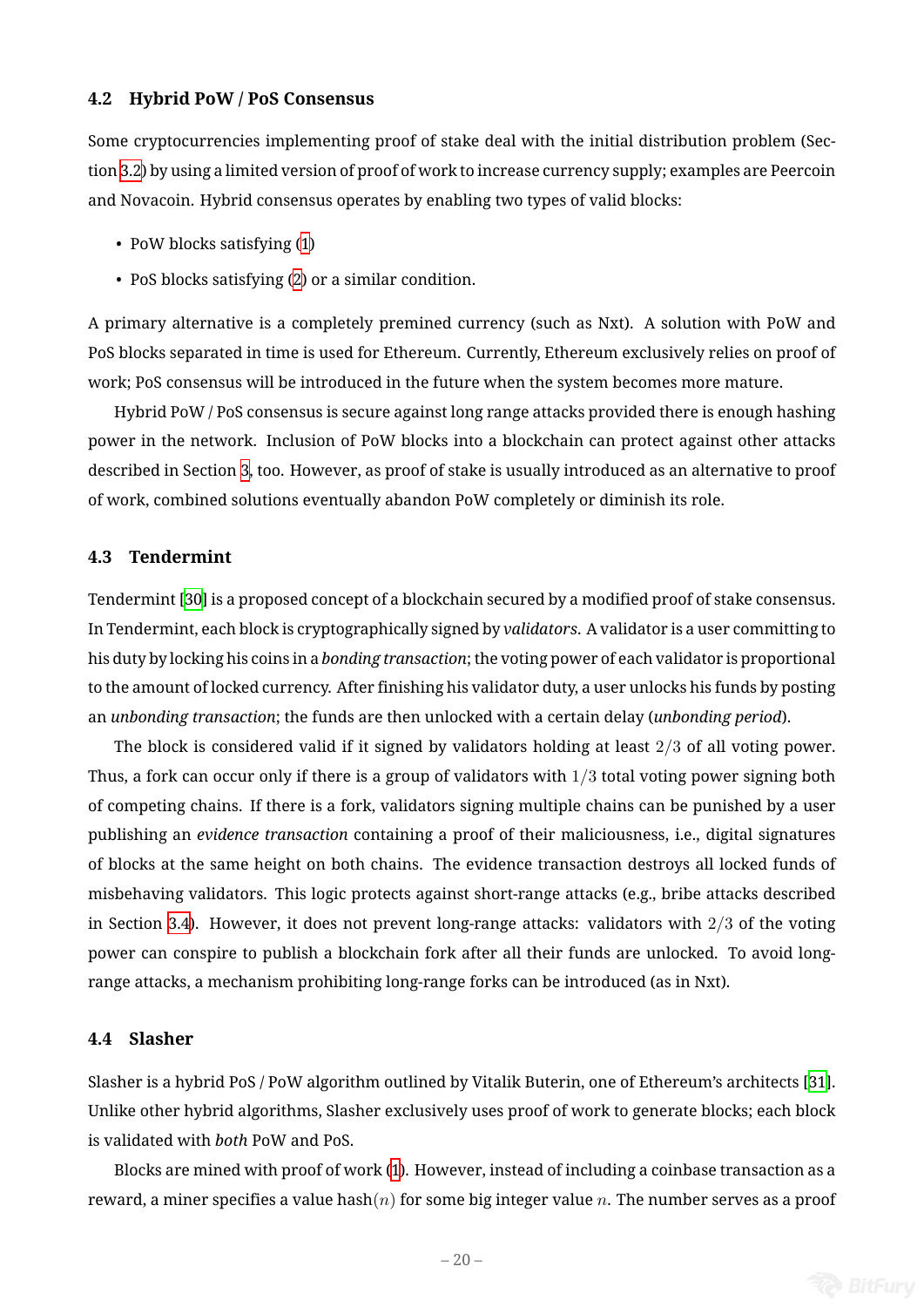#### **4.2 Hybrid PoW / PoS Consensus**

Some cryptocurrencies implementing proof of stake deal with the initial distribution problem (Section 3.2) by using a limited version of proof of work to increase currency supply; examples are Peercoin and Novacoin. Hybrid consensus operates by enabling two types of valid blocks:

- [Po](#page-12-0)W blocks satisfying (1)
- PoS blocks satisfying (2) or a similar condition.

A primary alternative is a c[om](#page-4-0)pletely premined currency (such as Nxt). A solution with PoW and PoS blocks separated in tim[e](#page-5-1) is used for Ethereum. Currently, Ethereum exclusively relies on proof of work; PoS consensus will be introduced in the future when the system becomes more mature.

Hybrid PoW / PoS consensus is secure against long range attacks provided there is enough hashing power in the network. Inclusion of PoW blocks into a blockchain can protect against other attacks described in Section 3, too. However, as proof of stake is usually introduced as an alternative to proof of work, combined solutions eventually abandon PoW completely or diminish its role.

## **4.3 Tendermint**

Tendermint [30] is a proposed concept of a blockchain secured by a modified proof of stake consensus. In Tendermint, each block is cryptographically signed by *validators*. A validator is a user committing to his duty by locking his coins in a *bonding transaction*; the voting power of each validator is proportional to the amoun[t o](#page-25-13)f locked currency. After finishing his validator duty, a user unlocks his funds by posting an *unbonding transaction*; the funds are then unlocked with a certain delay (*unbonding period*).

The block is considered valid if it signed by validators holding at least 2*/*3 of all voting power. Thus, a fork can occur only if there is a group of validators with 1*/*3 total voting power signing both of competing chains. If there is a fork, validators signing multiple chains can be punished by a user publishing an *evidence transaction* containing a proof of their maliciousness, i.e., digital signatures of blocks at the same height on both chains. The evidence transaction destroys all locked funds of misbehaving validators. This logic protects against short-range attacks (e.g., bribe attacks described in Section 3.4). However, it does not prevent long-range attacks: validators with 2*/*3 of the voting power can conspire to publish a blockchain fork after all their funds are unlocked. To avoid longrange atta[cks,](#page-13-0) a mechanism prohibiting long-range forks can be introduced (as in Nxt).

# **4.4 Slasher**

Slasher is a hybrid PoS / PoW algorithm outlined by Vitalik Buterin, one of Ethereum's architects [31]. Unlike other hybrid algorithms, Slasher exclusively uses proof of work to generate blocks; each block is validated with *both* PoW and PoS.

Blocks are mined with proof of work (1). However, instead of including a coinbase transaction [as](#page-25-14) a reward, a miner specifies a value hash(*n*) for some big integer value *n*. The number serves as a proof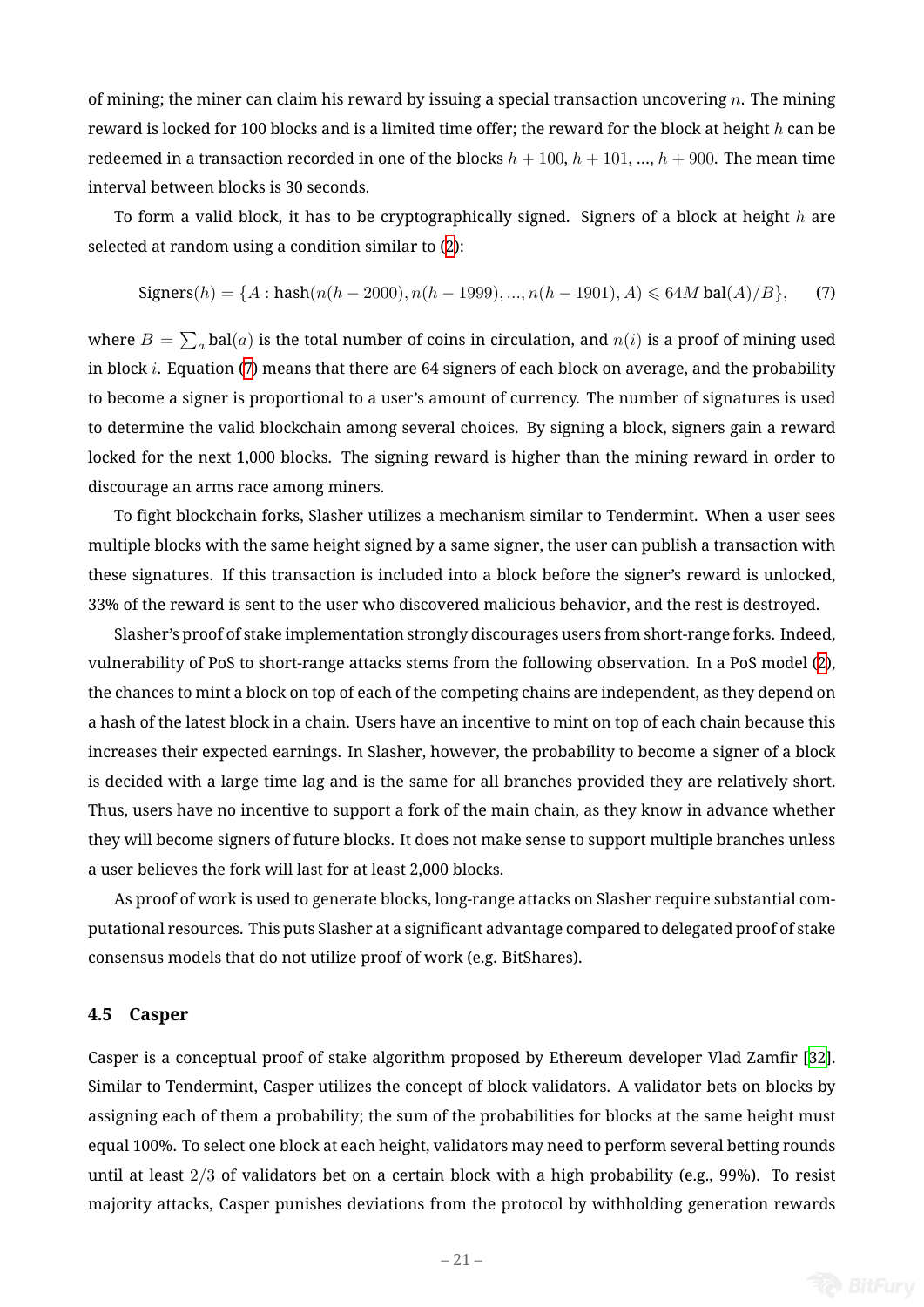of mining; the miner can claim his reward by issuing a special transaction uncovering *n*. The mining reward is locked for 100 blocks and is a limited time offer; the reward for the block at height *h* can be redeemed in a transaction recorded in one of the blocks  $h + 100$ ,  $h + 101$ , ...,  $h + 900$ . The mean time interval between blocks is 30 seconds.

To form a valid block, it has to be cryptographically signed. Signers of a block at height *h* are selected at random using a condition similar to (2):

$$
Signers(h) = \{A : \text{hash}(n(h - 2000), n(h - 1999), ..., n(h - 1901), A) \leq 64M \,\text{bal}(A)/B\},\tag{7}
$$

<span id="page-20-0"></span>where  $B=\sum_{a}\text{bal}(a)$  is the total number of co[in](#page-5-1)s in circulation, and  $n(i)$  is a proof of mining used in block *i*. Equation (7) means that there are 64 signers of each block on average, and the probability to become a signer is proportional to a user's amount of currency. The number of signatures is used to determine the valid blockchain among several choices. By signing a block, signers gain a reward locked for the next [1,0](#page-20-0)00 blocks. The signing reward is higher than the mining reward in order to discourage an arms race among miners.

To fight blockchain forks, Slasher utilizes a mechanism similar to Tendermint. When a user sees multiple blocks with the same height signed by a same signer, the user can publish a transaction with these signatures. If this transaction is included into a block before the signer's reward is unlocked, 33% of the reward is sent to the user who discovered malicious behavior, and the rest is destroyed.

Slasher's proof of stake implementation strongly discourages users from short-range forks. Indeed, vulnerability of PoS to short-range attacks stems from the following observation. In a PoS model (2), the chances to mint a block on top of each of the competing chains are independent, as they depend on a hash of the latest block in a chain. Users have an incentive to mint on top of each chain because this increases their expected earnings. In Slasher, however, the probability to become a signer of a bl[ock](#page-5-1) is decided with a large time lag and is the same for all branches provided they are relatively short. Thus, users have no incentive to support a fork of the main chain, as they know in advance whether they will become signers of future blocks. It does not make sense to support multiple branches unless a user believes the fork will last for at least 2,000 blocks.

As proof of work is used to generate blocks, long-range attacks on Slasher require substantial computational resources. This puts Slasher at a significant advantage compared to delegated proof of stake consensus models that do not utilize proof of work (e.g. BitShares).

## **4.5 Casper**

Casper is a conceptual proof of stake algorithm proposed by Ethereum developer Vlad Zamfir [32]. Similar to Tendermint, Casper utilizes the concept of block validators. A validator bets on blocks by assigning each of them a probability; the sum of the probabilities for blocks at the same height must equal 100%. To select one block at each height, validators may need to perform several betting ro[und](#page-25-15)s until at least 2*/*3 of validators bet on a certain block with a high probability (e.g., 99%). To resist majority attacks, Casper punishes deviations from the protocol by withholding generation rewards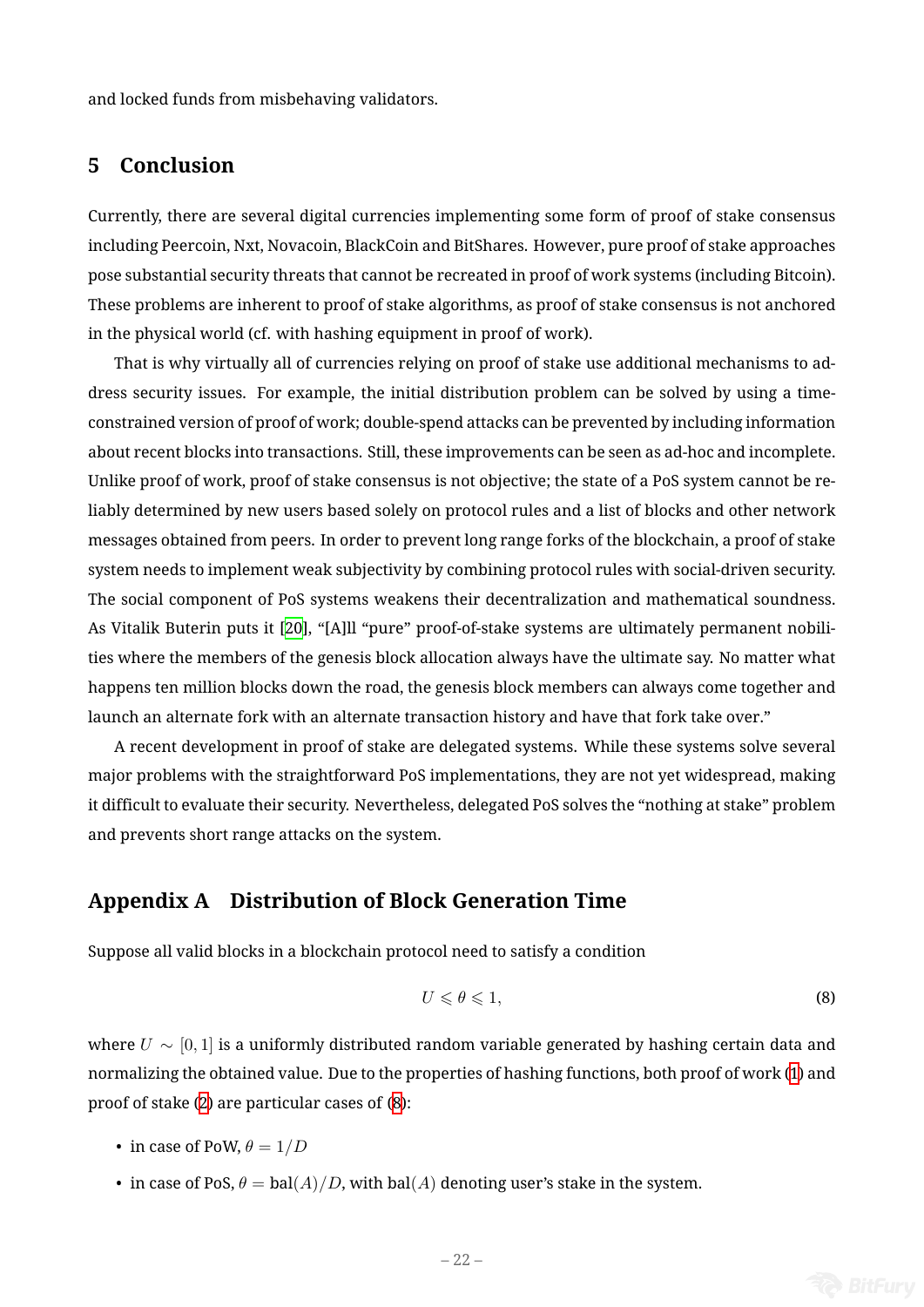and locked funds from misbehaving validators.

# **5 Conclusion**

Currently, there are several digital currencies implementing some form of proof of stake consensus including Peercoin, Nxt, Novacoin, BlackCoin and BitShares. However, pure proof of stake approaches pose substantial security threats that cannot be recreated in proof of work systems (including Bitcoin). These problems are inherent to proof of stake algorithms, as proof of stake consensus is not anchored in the physical world (cf. with hashing equipment in proof of work).

That is why virtually all of currencies relying on proof of stake use additional mechanisms to address security issues. For example, the initial distribution problem can be solved by using a timeconstrained version of proof of work; double-spend attacks can be prevented by including information about recent blocks into transactions. Still, these improvements can be seen as ad-hoc and incomplete. Unlike proof of work, proof of stake consensus is not objective; the state of a PoS system cannot be reliably determined by new users based solely on protocol rules and a list of blocks and other network messages obtained from peers. In order to prevent long range forks of the blockchain, a proof of stake system needs to implement weak subjectivity by combining protocol rules with social-driven security. The social component of PoS systems weakens their decentralization and mathematical soundness. As Vitalik Buterin puts it [20], "[A]ll "pure" proof-of-stake systems are ultimately permanent nobilities where the members of the genesis block allocation always have the ultimate say. No matter what happens ten million blocks down the road, the genesis block members can always come together and launch an alternate fork [with](#page-25-3) an alternate transaction history and have that fork take over."

A recent development in proof of stake are delegated systems. While these systems solve several major problems with the straightforward PoS implementations, they are not yet widespread, making it difficult to evaluate their security. Nevertheless, delegated PoS solves the "nothing at stake" problem and prevents short range attacks on the system.

# **Appendix A Distribution of Block Generation Time**

<span id="page-21-0"></span>Suppose all valid blocks in a blockchain protocol need to satisfy a condition

<span id="page-21-1"></span>
$$
U \leqslant \theta \leqslant 1,\tag{8}
$$

where *U ∼* [0*,* 1] is a uniformly distributed random variable generated by hashing certain data and normalizing the obtained value. Due to the properties of hashing functions, both proof of work (1) and proof of stake (2) are particular cases of (8):

- in case of PoW,  $\theta = 1/D$
- in case o[f P](#page-5-1)oS,  $\theta = \text{bal}(A)/D$ , with [ba](#page-21-1)l(A) denoting user's stake in the system.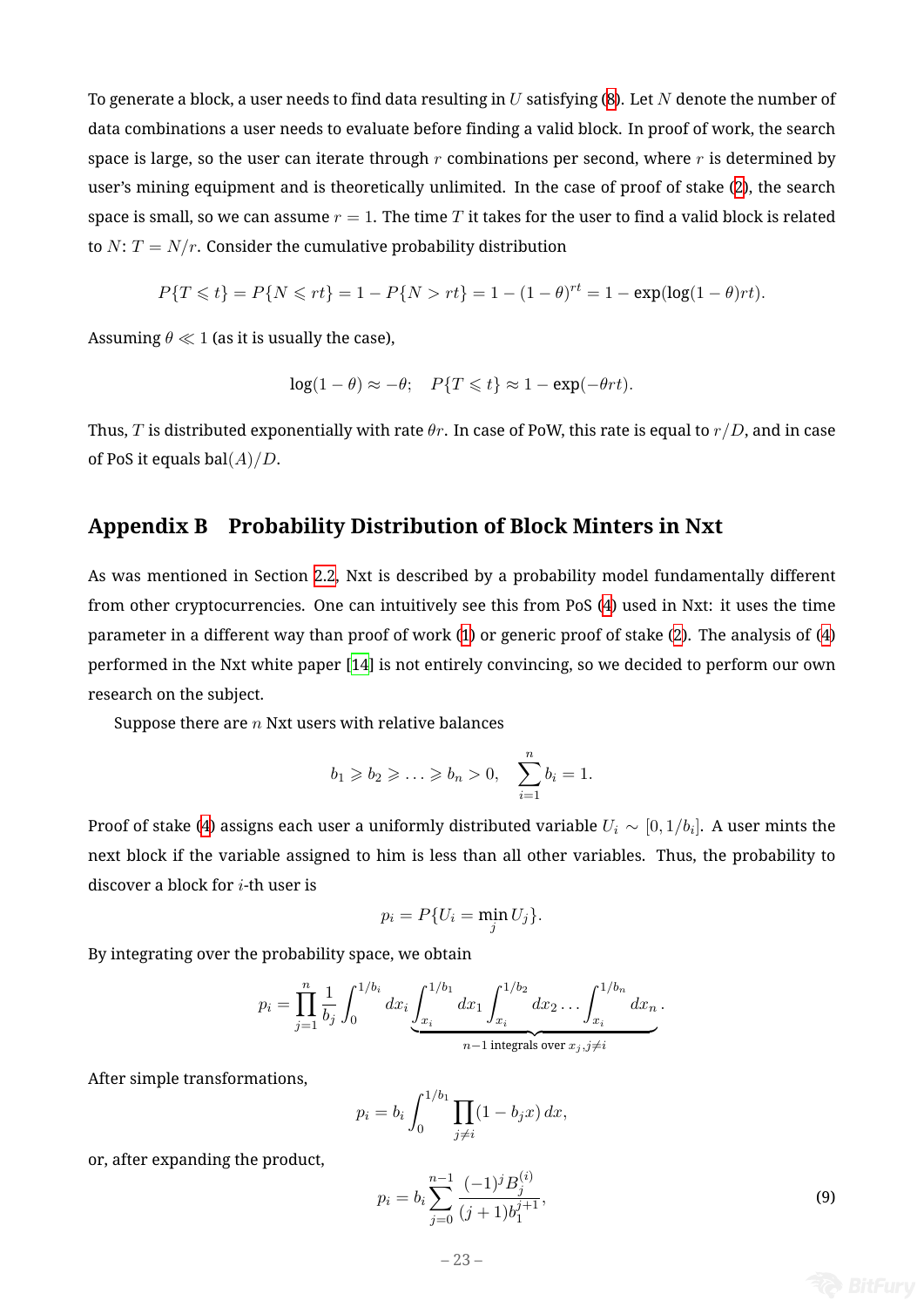To generate a block, a user needs to find data resulting in *U* satisfying (8). Let *N* denote the number of data combinations a user needs to evaluate before finding a valid block. In proof of work, the search space is large, so the user can iterate through *r* combinations per second, where *r* is determined by user's mining equipment and is theoretically unlimited. In the case [of](#page-21-1) proof of stake (2), the search space is small, so we can assume  $r = 1$ . The time  $T$  it takes for the user to find a valid block is related to *N*:  $T = N/r$ . Consider the cumulative probability distribution

$$
P\{T \leq t\} = P\{N \leq r t\} = 1 - P\{N > r t\} = 1 - (1 - \theta)^{rt} = 1 - \exp(\log(1 - \theta)rt).
$$

Assuming  $\theta \ll 1$  (as it is usually the case),

$$
\log(1-\theta) \approx -\theta; \quad P\{T \leq t\} \approx 1 - \exp(-\theta rt).
$$

Thus, *T* is distributed exponentially with rate *θr*. In case of PoW, this rate is equal to *r/D*, and in case of PoS it equals bal(*A*)*/D*.

# **Appendix B Probability Distribution of Block Minters in Nxt**

As was mentioned in Section 2.2, Nxt is described by a probability model fundamentally different from other cryptocurrencies. One can intuitively see this from PoS (4) used in Nxt: it uses the time parameter in a different way than proof of work (1) or generic proof of stake (2). The analysis of (4) performed in the Nxt white p[aper](#page-9-1) [14] is not entirely convincing, so [w](#page-9-0)e decided to perform our own research on the subject.

Suppose there are *n* Nxt users [with](#page-25-16) relative ba[la](#page-4-0)nces

$$
b_1 \ge b_2 \ge \ldots \ge b_n > 0, \quad \sum_{i=1}^n b_i = 1.
$$

Proof of stake (4) assigns each user a uniformly distributed variable *U<sup>i</sup> ∼* [0*,* 1*/b<sup>i</sup>* ]. A user mints the next block if the variable assigned to him is less than all other variables. Thus, the probability to discover a bloc[k](#page-9-0) for *i*-th user is

$$
p_i = P\{U_i = \min_j U_j\}.
$$

By integrating over the probability space, we obtain

$$
p_i = \prod_{j=1}^n \frac{1}{b_j} \int_0^{1/b_i} dx_i \underbrace{\int_{x_i}^{1/b_1} dx_1 \int_{x_i}^{1/b_2} dx_2 \dots \int_{x_i}^{1/b_n} dx_n}_{n-1 \text{ integrals over } x_j, j \neq i}.
$$

After simple transformations,

$$
p_i = b_i \int_0^{1/b_1} \prod_{j \neq i} (1 - b_j x) \, dx,
$$

or, after expanding the product,

$$
p_i = b_i \sum_{j=0}^{n-1} \frac{(-1)^j B_j^{(i)}}{(j+1)b_1^{j+1}},\tag{9}
$$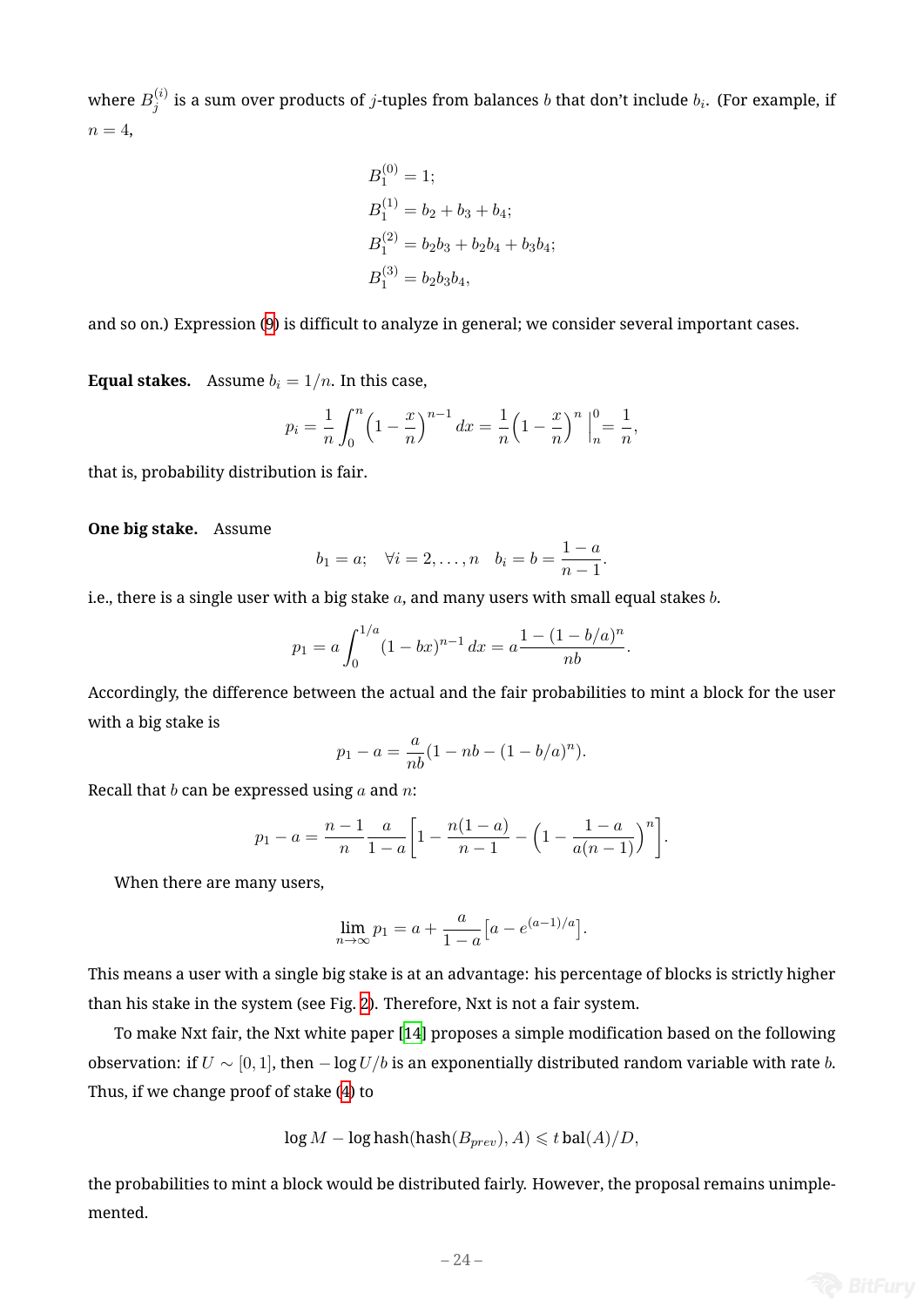where  $B_i^{(i)}$  $j_j^{(i)}$  is a sum over products of  $j$ -tuples from balances  $b$  that don't include  $b_i.$  (For example, if  $n=4$ ,

$$
B_1^{(0)} = 1;
$$
  
\n
$$
B_1^{(1)} = b_2 + b_3 + b_4;
$$
  
\n
$$
B_1^{(2)} = b_2b_3 + b_2b_4 + b_3b_4;
$$
  
\n
$$
B_1^{(3)} = b_2b_3b_4,
$$

and so on.) Expression (9) is difficult to analyze in general; we consider several important cases.

**Equal stakes.** Assume  $b_i = 1/n$ . In this case,

$$
p_i = \frac{1}{n} \int_0^n \left(1 - \frac{x}{n}\right)^{n-1} dx = \frac{1}{n} \left(1 - \frac{x}{n}\right)^n \Big|_n^0 = \frac{1}{n},
$$

that is, probability distribution is fair.

**One big stake.** Assume

$$
b_1 = a;
$$
  $\forall i = 2,...,n$   $b_i = b = \frac{1-a}{n-1}.$ 

i.e., there is a single user with a big stake *a*, and many users with small equal stakes *b*.

$$
p_1 = a \int_0^{1/a} (1 - bx)^{n-1} dx = a \frac{1 - (1 - b/a)^n}{nb}.
$$

Accordingly, the difference between the actual and the fair probabilities to mint a block for the user with a big stake is

$$
p_1 - a = \frac{a}{nb}(1 - nb - (1 - b/a)^n).
$$

Recall that *b* can be expressed using *a* and *n*:

$$
p_1 - a = \frac{n-1}{n} \frac{a}{1-a} \left[ 1 - \frac{n(1-a)}{n-1} - \left( 1 - \frac{1-a}{a(n-1)} \right)^n \right].
$$

When there are many users,

$$
\lim_{n \to \infty} p_1 = a + \frac{a}{1 - a} \big[ a - e^{(a-1)/a} \big].
$$

This means a user with a single big stake is at an advantage: his percentage of blocks is strictly higher than his stake in the system (see Fig. 2). Therefore, Nxt is not a fair system.

To make Nxt fair, the Nxt white paper [14] proposes a simple modification based on the following observation: if  $U \sim [0, 1]$ , then  $-\log U/b$  is an exponentially distributed random variable with rate *b*. Thus, if we change proof of stake (4) [to](#page-24-9)

$$
\log M - \log \operatorname{hash}(\operatorname{hash}(B_{prev}), A) \leq t \operatorname{bal}(A)/D,
$$

the probabilities to mint a block w[ou](#page-9-0)ld be distributed fairly. However, the proposal remains unimplemented.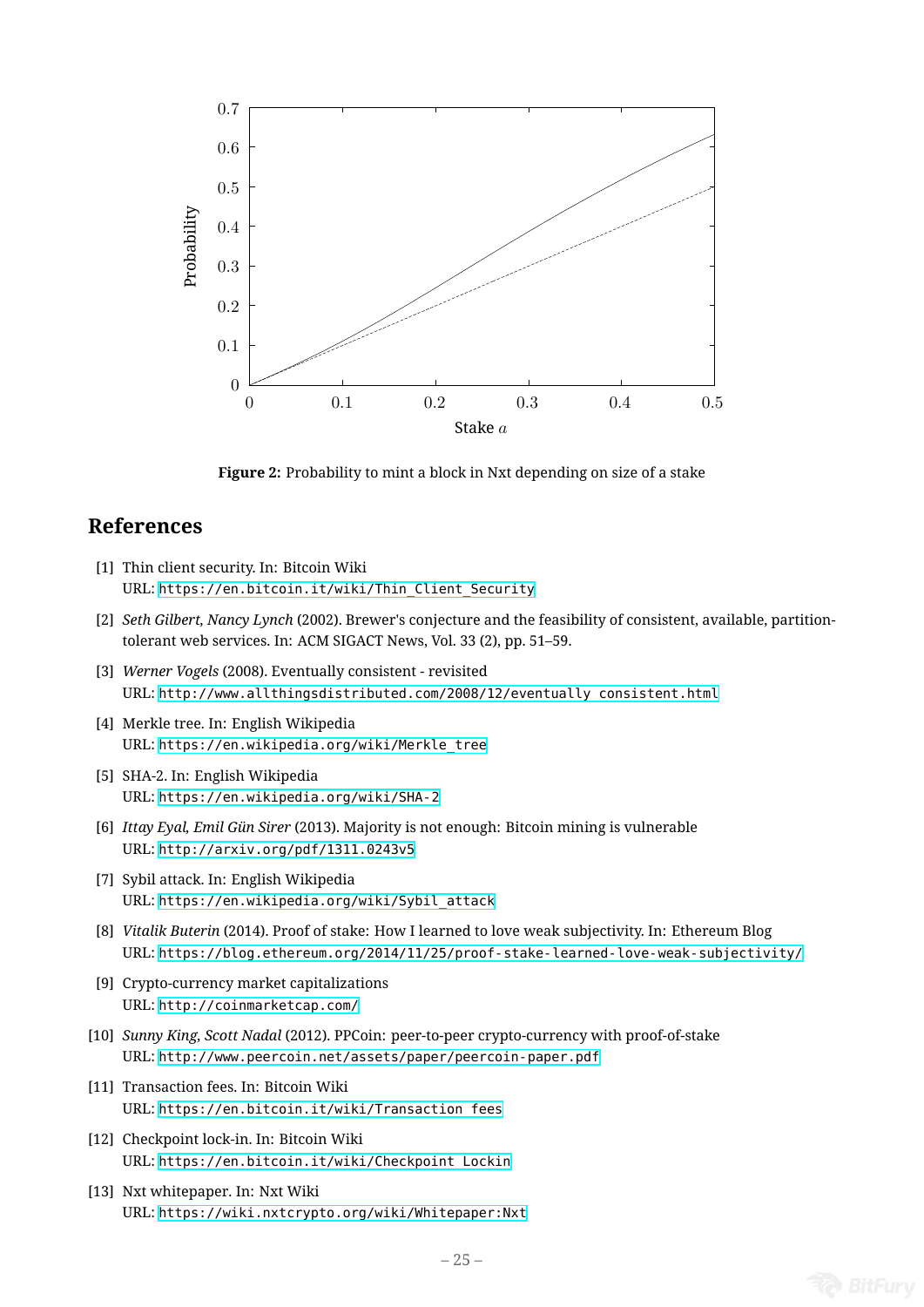<span id="page-24-9"></span>

**Figure 2:** Probability to mint a block in Nxt depending on size of a stake

# **References**

- [1] Thin client security. In: Bitcoin Wiki URL: https://en.bitcoin.it/wiki/Thin\_Client\_Security
- [2] *Seth Gilbert, Nancy Lynch* (2002). Brewer's conjecture and the feasibility of consistent, available, partitiontolerant web services. In: ACM SIGACT News, Vol. 33 (2), pp. 51–59.
- <span id="page-24-0"></span>[3] *Werner Vogels* [\(2008\). Eventually consistent - revisited](https://en.bitcoin.it/wiki/Thin_Client_Security) URL: http://www.allthingsdistributed.com/2008/12/eventually\_consistent.html
- <span id="page-24-1"></span>[4] Merkle tree. In: English Wikipedia URL: https://en.wikipedia.org/wiki/Merkle\_tree
- <span id="page-24-2"></span>[5] SHA-[2. In: English Wikipedia](http://www.allthingsdistributed.com/2008/12/eventually_consistent.html) URL: https://en.wikipedia.org/wiki/SHA-2
- <span id="page-24-3"></span>[6] *Ittay Eyal, Emil Gün Sirer* [\(2013\). Majority is not enoug](https://en.wikipedia.org/wiki/Merkle_tree)h: Bitcoin mining is vulnerable URL: http://arxiv.org/pdf/1311.0243v5
- <span id="page-24-8"></span>[7] Sybil [attack. In: English Wikipedia](https://en.wikipedia.org/wiki/SHA-2) URL: https://en.wikipedia.org/wiki/Sybil\_attack
- [8] *Vitalik Buterin* [\(2014\). Proof of stake: How I](http://arxiv.org/pdf/1311.0243v5) learned to love weak subjectivity. In: Ethereum Blog URL: https://blog.ethereum.org/2014/11/25/proof-stake-learned-love-weak-subjectivity/
- <span id="page-24-4"></span>[9] Cryp[to-currency market capitalizations](https://en.wikipedia.org/wiki/Sybil_attack) URL: http://coinmarketcap.com/
- [10] *Sunny King, Scott Nadal* [\(2012\). PPCoin: peer-to-peer crypto-currency with proof-of-stake](https://blog.ethereum.org/2014/11/25/proof-stake-learned-love-weak-subjectivity/) URL: http://www.peercoin.net/assets/paper/peercoin-paper.pdf
- [11] Tran[saction fees. In: Bitcoin Wiki](http://coinmarketcap.com/) URL: https://en.bitcoin.it/wiki/Transaction\_fees
- <span id="page-24-5"></span>[12] Chec[kpoint lock-in. In: Bitcoin Wiki](http://www.peercoin.net/assets/paper/peercoin-paper.pdf) URL: https://en.bitcoin.it/wiki/Checkpoint\_Lockin
- <span id="page-24-7"></span><span id="page-24-6"></span>[13] Nxt [whitepaper. In: Nxt Wiki](https://en.bitcoin.it/wiki/Transaction_fees) URL: https://wiki.nxtcrypto.org/wiki/Whitepaper:Nxt